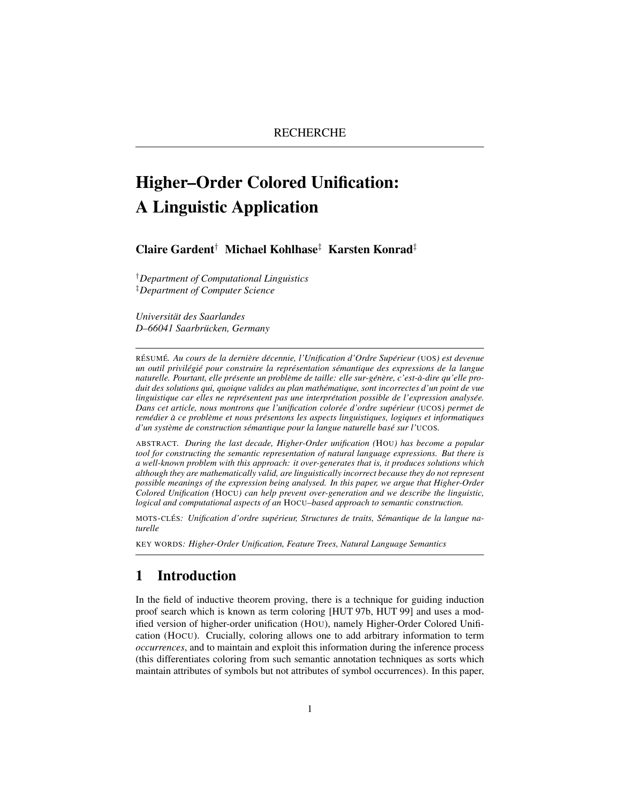# Higher–Order Colored Unification: A Linguistic Application

# Claire Gardent† Michael Kohlhase‡ Karsten Konrad‡

†*Department of Computational Linguistics* ‡*Department of Computer Science*

*Universitat des Saarlandes ¨ D–66041 Saarbrucken, Germany ¨*

RESUM ´ E´*. Au cours de la derniere d ` ecennie, l'Unification d'Ordre Sup ´ erieur ( ´* UOS*) est devenue un outil privilegi ´ e pour construire la repr ´ esentation s ´ emantique des expressions de la langue ´ naturelle. Pourtant, elle presente un probl ´ eme de taille: elle sur-g ` en´ ere, c'est- ` a-dire qu'elle pro- ` duit des solutions qui, quoique valides au plan mathematique, sont incorrectes d'un point de vue ´ linguistique car elles ne representent pas une interpr ´ etation possible de l'expression analys ´ ee. ´ Dans cet article, nous montrons que l'unification coloree d'ordre sup ´ erieur ( ´* UCOS*) permet de remedier ´ a ce probl ` eme et nous pr ` esentons les aspects linguistiques, logiques et informatiques ´ d'un systeme de construction s ` emantique pour la langue naturelle bas ´ e sur l' ´* UCOS*.*

ABSTRACT*. During the last decade, Higher-Order unification (*HOU*) has become a popular tool for constructing the semantic representation of natural language expressions. But there is a well-known problem with this approach: it over-generates that is, it produces solutions which although they are mathematically valid, are linguistically incorrect because they do not represent possible meanings of the expression being analysed. In this paper, we argue that Higher-Order Colored Unification (*HOCU*) can help prevent over-generation and we describe the linguistic, logical and computational aspects of an* HOCU*–based approach to semantic construction.*

MOTS-CLES´ *: Unification d'ordre superieur, Structures de traits, S ´ emantique de la langue na- ´ turelle*

KEY WORDS*: Higher-Order Unification, Feature Trees, Natural Language Semantics*

# 1 Introduction

In the field of inductive theorem proving, there is a technique for guiding induction proof search which is known as term coloring [HUT 97b, HUT 99] and uses a modified version of higher-order unification (HOU), namely Higher-Order Colored Unification (HOCU). Crucially, coloring allows one to add arbitrary information to term *occurrences*, and to maintain and exploit this information during the inference process (this differentiates coloring from such semantic annotation techniques as sorts which maintain attributes of symbols but not attributes of symbol occurrences). In this paper,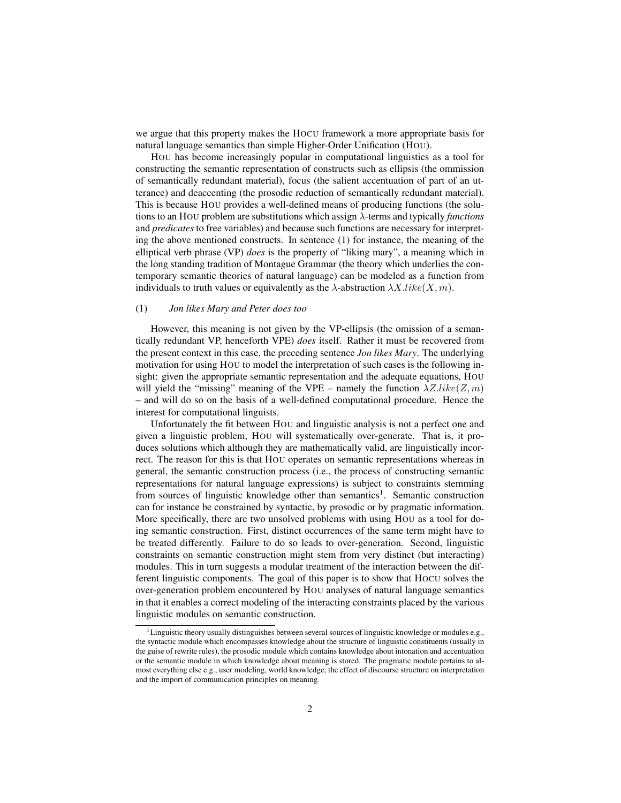we argue that this property makes the HOCU framework a more appropriate basis for natural language semantics than simple Higher-Order Unification (HOU).

HOU has become increasingly popular in computational linguistics as a tool for constructing the semantic representation of constructs such as ellipsis (the ommission of semantically redundant material), focus (the salient accentuation of part of an utterance) and deaccenting (the prosodic reduction of semantically redundant material). This is because HOU provides a well-defined means of producing functions (the solutions to an HOU problem are substitutions which assign λ-terms and typically *functions* and *predicates* to free variables) and because such functions are necessary for interpreting the above mentioned constructs. In sentence (1) for instance, the meaning of the elliptical verb phrase (VP) *does* is the property of "liking mary", a meaning which in the long standing tradition of Montague Grammar (the theory which underlies the contemporary semantic theories of natural language) can be modeled as a function from individuals to truth values or equivalently as the  $\lambda$ -abstraction  $\lambda X.$ like(X, m).

#### (1) *Jon likes Mary and Peter does too*

However, this meaning is not given by the VP-ellipsis (the omission of a semantically redundant VP, henceforth VPE) *does* itself. Rather it must be recovered from the present context in this case, the preceding sentence *Jon likes Mary*. The underlying motivation for using HOU to model the interpretation of such cases is the following insight: given the appropriate semantic representation and the adequate equations, HOU will yield the "missing" meaning of the VPE – namely the function  $\lambda Z.$ *like*( $Z, m$ ) – and will do so on the basis of a well-defined computational procedure. Hence the interest for computational linguists.

Unfortunately the fit between HOU and linguistic analysis is not a perfect one and given a linguistic problem, HOU will systematically over-generate. That is, it produces solutions which although they are mathematically valid, are linguistically incorrect. The reason for this is that HOU operates on semantic representations whereas in general, the semantic construction process (i.e., the process of constructing semantic representations for natural language expressions) is subject to constraints stemming from sources of linguistic knowledge other than semantics<sup>1</sup>. Semantic construction can for instance be constrained by syntactic, by prosodic or by pragmatic information. More specifically, there are two unsolved problems with using HOU as a tool for doing semantic construction. First, distinct occurrences of the same term might have to be treated differently. Failure to do so leads to over-generation. Second, linguistic constraints on semantic construction might stem from very distinct (but interacting) modules. This in turn suggests a modular treatment of the interaction between the different linguistic components. The goal of this paper is to show that HOCU solves the over-generation problem encountered by HOU analyses of natural language semantics in that it enables a correct modeling of the interacting constraints placed by the various linguistic modules on semantic construction.

<sup>&</sup>lt;sup>1</sup>Linguistic theory usually distinguishes between several sources of linguistic knowledge or modules e.g., the syntactic module which encompasses knowledge about the structure of linguistic constituents (usually in the guise of rewrite rules), the prosodic module which contains knowledge about intonation and accentuation or the semantic module in which knowledge about meaning is stored. The pragmatic module pertains to almost everything else e.g., user modeling, world knowledge, the effect of discourse structure on interpretation and the import of communication principles on meaning.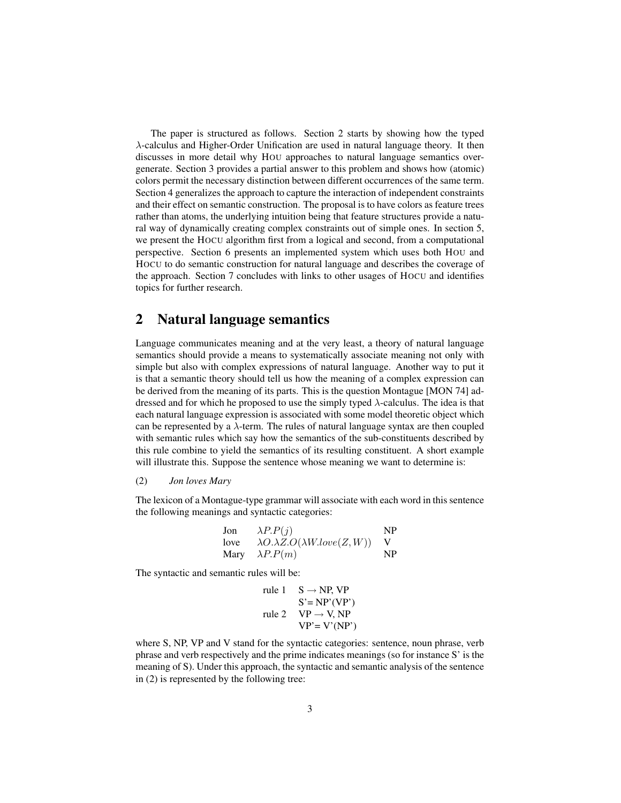The paper is structured as follows. Section 2 starts by showing how the typed λ-calculus and Higher-Order Unification are used in natural language theory. It then discusses in more detail why HOU approaches to natural language semantics overgenerate. Section 3 provides a partial answer to this problem and shows how (atomic) colors permit the necessary distinction between different occurrences of the same term. Section 4 generalizes the approach to capture the interaction of independent constraints and their effect on semantic construction. The proposal is to have colors as feature trees rather than atoms, the underlying intuition being that feature structures provide a natural way of dynamically creating complex constraints out of simple ones. In section 5, we present the HOCU algorithm first from a logical and second, from a computational perspective. Section 6 presents an implemented system which uses both HOU and HOCU to do semantic construction for natural language and describes the coverage of the approach. Section 7 concludes with links to other usages of HOCU and identifies topics for further research.

# 2 Natural language semantics

Language communicates meaning and at the very least, a theory of natural language semantics should provide a means to systematically associate meaning not only with simple but also with complex expressions of natural language. Another way to put it is that a semantic theory should tell us how the meaning of a complex expression can be derived from the meaning of its parts. This is the question Montague [MON 74] addressed and for which he proposed to use the simply typed  $\lambda$ -calculus. The idea is that each natural language expression is associated with some model theoretic object which can be represented by a  $\lambda$ -term. The rules of natural language syntax are then coupled with semantic rules which say how the semantics of the sub-constituents described by this rule combine to yield the semantics of its resulting constituent. A short example will illustrate this. Suppose the sentence whose meaning we want to determine is:

#### (2) *Jon loves Mary*

The lexicon of a Montague-type grammar will associate with each word in this sentence the following meanings and syntactic categories:

| Jon  | $\lambda P.P(j)$                            | NP |
|------|---------------------------------------------|----|
| love | $\lambda O.\lambda Z.O(\lambda Wlove(Z,W))$ |    |
|      | Mary $\lambda P.P(m)$                       | NP |

The syntactic and semantic rules will be:

rule 1 
$$
S \rightarrow NP, VP
$$
  
\n $S' = NP'(VP')$   
\nrule 2  $VP \rightarrow V, NP$   
\n $VP' = V'(NP')$ 

where S, NP, VP and V stand for the syntactic categories: sentence, noun phrase, verb phrase and verb respectively and the prime indicates meanings (so for instance S' is the meaning of S). Under this approach, the syntactic and semantic analysis of the sentence in (2) is represented by the following tree: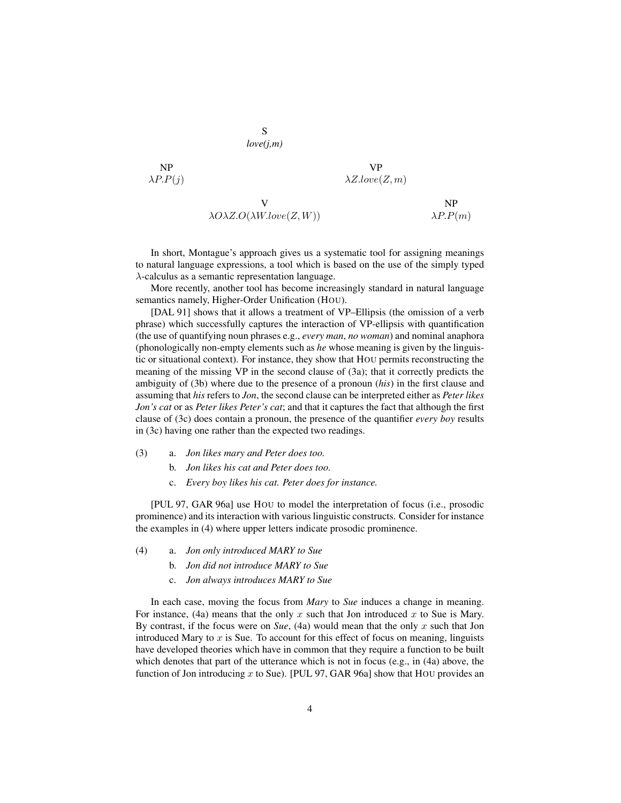NP  
\n
$$
\begin{array}{ccc}\nNP & VP \\
\lambda P.P(j) & & \lambda Z.lower(Z,m) \\
& & NP & NP \\
\lambda O\lambda Z.O(\lambda W.lower(Z,W)) & & \lambda P.P(m)\n\end{array}
$$

S *love(j,m)*

In short, Montague's approach gives us a systematic tool for assigning meanings to natural language expressions, a tool which is based on the use of the simply typed  $\lambda$ -calculus as a semantic representation language.

More recently, another tool has become increasingly standard in natural language semantics namely, Higher-Order Unification (HOU).

[DAL 91] shows that it allows a treatment of VP–Ellipsis (the omission of a verb phrase) which successfully captures the interaction of VP-ellipsis with quantification (the use of quantifying noun phrases e.g., *every man*, *no woman*) and nominal anaphora (phonologically non-empty elements such as *he* whose meaning is given by the linguistic or situational context). For instance, they show that HOU permits reconstructing the meaning of the missing VP in the second clause of (3a); that it correctly predicts the ambiguity of (3b) where due to the presence of a pronoun (*his*) in the first clause and assuming that *his* refers to *Jon*, the second clause can be interpreted either as *Peter likes Jon's cat* or as *Peter likes Peter's cat*; and that it captures the fact that although the first clause of (3c) does contain a pronoun, the presence of the quantifier *every boy* results in (3c) having one rather than the expected two readings.

- (3) a. *Jon likes mary and Peter does too.*
	- b. *Jon likes his cat and Peter does too.*
	- c. *Every boy likes his cat. Peter does for instance.*

[PUL 97, GAR 96a] use HOU to model the interpretation of focus (i.e., prosodic prominence) and its interaction with various linguistic constructs. Consider for instance the examples in (4) where upper letters indicate prosodic prominence.

- (4) a. *Jon only introduced MARY to Sue*
	- b. *Jon did not introduce MARY to Sue*
	- c. *Jon always introduces MARY to Sue*

In each case, moving the focus from *Mary* to *Sue* induces a change in meaning. For instance, (4a) means that the only  $x$  such that Jon introduced  $x$  to Sue is Mary. By contrast, if the focus were on *Sue*, (4a) would mean that the only x such that Jon introduced Mary to  $x$  is Sue. To account for this effect of focus on meaning, linguists have developed theories which have in common that they require a function to be built which denotes that part of the utterance which is not in focus (e.g., in (4a) above, the function of Jon introducing  $x$  to Sue). [PUL 97, GAR 96a] show that HOU provides an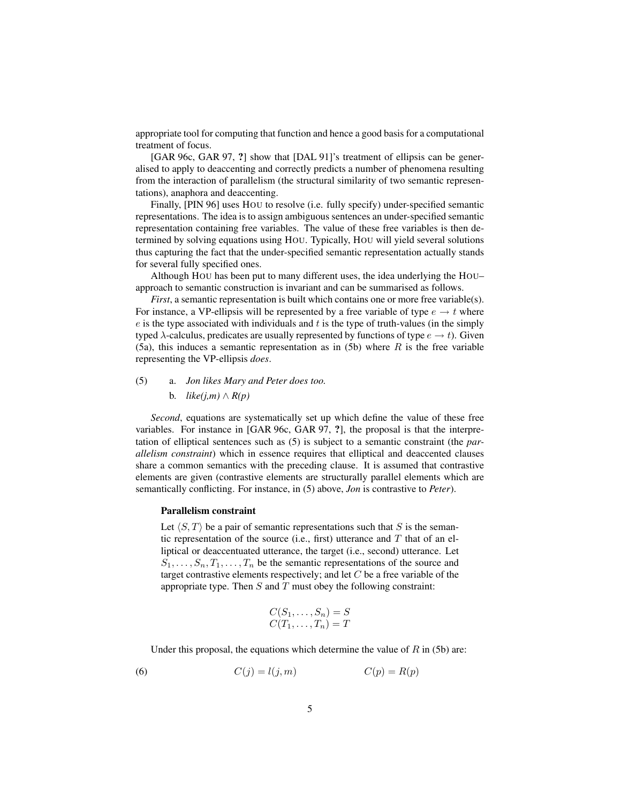appropriate tool for computing that function and hence a good basis for a computational treatment of focus.

[GAR 96c, GAR 97, ?] show that [DAL 91]'s treatment of ellipsis can be generalised to apply to deaccenting and correctly predicts a number of phenomena resulting from the interaction of parallelism (the structural similarity of two semantic representations), anaphora and deaccenting.

Finally, [PIN 96] uses HOU to resolve (i.e. fully specify) under-specified semantic representations. The idea is to assign ambiguous sentences an under-specified semantic representation containing free variables. The value of these free variables is then determined by solving equations using HOU. Typically, HOU will yield several solutions thus capturing the fact that the under-specified semantic representation actually stands for several fully specified ones.

Although HOU has been put to many different uses, the idea underlying the HOU– approach to semantic construction is invariant and can be summarised as follows.

*First*, a semantic representation is built which contains one or more free variable(s). For instance, a VP-ellipsis will be represented by a free variable of type  $e \rightarrow t$  where  $e$  is the type associated with individuals and  $t$  is the type of truth-values (in the simply typed  $\lambda$ -calculus, predicates are usually represented by functions of type  $e \to t$ ). Given (5a), this induces a semantic representation as in (5b) where  $R$  is the free variable representing the VP-ellipsis *does*.

# (5) a. *Jon likes Mary and Peter does too.* b.  $like(j,m) \wedge R(p)$

*Second*, equations are systematically set up which define the value of these free variables. For instance in [GAR 96c, GAR 97, ?], the proposal is that the interpretation of elliptical sentences such as (5) is subject to a semantic constraint (the *parallelism constraint*) which in essence requires that elliptical and deaccented clauses share a common semantics with the preceding clause. It is assumed that contrastive elements are given (contrastive elements are structurally parallel elements which are semantically conflicting. For instance, in (5) above, *Jon* is contrastive to *Peter*).

#### Parallelism constraint

Let  $\langle S, T \rangle$  be a pair of semantic representations such that S is the semantic representation of the source (i.e., first) utterance and  $T$  that of an elliptical or deaccentuated utterance, the target (i.e., second) utterance. Let  $S_1, \ldots, S_n, T_1, \ldots, T_n$  be the semantic representations of the source and target contrastive elements respectively; and let  $C$  be a free variable of the appropriate type. Then  $S$  and  $T$  must obey the following constraint:

$$
C(S_1, \ldots, S_n) = S
$$
  

$$
C(T_1, \ldots, T_n) = T
$$

Under this proposal, the equations which determine the value of  $R$  in (5b) are:

(6) 
$$
C(j) = l(j, m) \qquad C(p) = R(p)
$$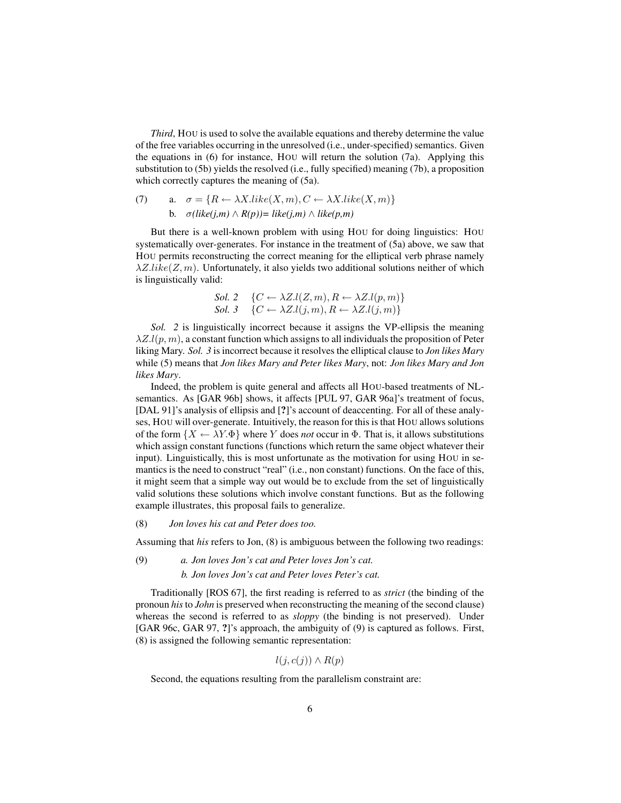*Third*, HOU is used to solve the available equations and thereby determine the value of the free variables occurring in the unresolved (i.e., under-specified) semantics. Given the equations in (6) for instance, HOU will return the solution (7a). Applying this substitution to (5b) yields the resolved (i.e., fully specified) meaning (7b), a proposition which correctly captures the meaning of (5a).

(7) a. 
$$
\sigma = \{R \leftarrow \lambda X. like(X, m), C \leftarrow \lambda X. like(X, m)\}
$$
  
b.  $\sigma(like(j,m) \wedge R(p)) = like(j,m) \wedge like(p,m)$ 

But there is a well-known problem with using HOU for doing linguistics: HOU systematically over-generates. For instance in the treatment of (5a) above, we saw that HOU permits reconstructing the correct meaning for the elliptical verb phrase namely  $\lambda Z. like(Z, m)$ . Unfortunately, it also yields two additional solutions neither of which is linguistically valid:

$$
Sol. 2 \quad \{C \leftarrow \lambda Z.l(Z, m), R \leftarrow \lambda Z.l(p, m)\}
$$
  

$$
Sol. 3 \quad \{C \leftarrow \lambda Z.l(j, m), R \leftarrow \lambda Z.l(j, m)\}
$$

*Sol. 2* is linguistically incorrect because it assigns the VP-ellipsis the meaning  $\lambda Z.l(p, m)$ , a constant function which assigns to all individuals the proposition of Peter liking Mary. *Sol. 3* is incorrect because it resolves the elliptical clause to *Jon likes Mary* while (5) means that *Jon likes Mary and Peter likes Mary*, not: *Jon likes Mary and Jon likes Mary*.

Indeed, the problem is quite general and affects all HOU-based treatments of NLsemantics. As [GAR 96b] shows, it affects [PUL 97, GAR 96a]'s treatment of focus, [DAL 91]'s analysis of ellipsis and [?]'s account of deaccenting. For all of these analyses, HOU will over-generate. Intuitively, the reason for this is that HOU allows solutions of the form  $\{X \leftarrow \lambda Y \Phi\}$  where Y does *not* occur in  $\Phi$ . That is, it allows substitutions which assign constant functions (functions which return the same object whatever their input). Linguistically, this is most unfortunate as the motivation for using HOU in semantics is the need to construct "real" (i.e., non constant) functions. On the face of this, it might seem that a simple way out would be to exclude from the set of linguistically valid solutions these solutions which involve constant functions. But as the following example illustrates, this proposal fails to generalize.

#### (8) *Jon loves his cat and Peter does too.*

Assuming that *his* refers to Jon, (8) is ambiguous between the following two readings:

### (9) *a. Jon loves Jon's cat and Peter loves Jon's cat. b. Jon loves Jon's cat and Peter loves Peter's cat.*

Traditionally [ROS 67], the first reading is referred to as *strict* (the binding of the pronoun *his* to *John* is preserved when reconstructing the meaning of the second clause) whereas the second is referred to as *sloppy* (the binding is not preserved). Under [GAR 96c, GAR 97, ?]'s approach, the ambiguity of (9) is captured as follows. First, (8) is assigned the following semantic representation:

$$
l(j, c(j)) \wedge R(p)
$$

Second, the equations resulting from the parallelism constraint are: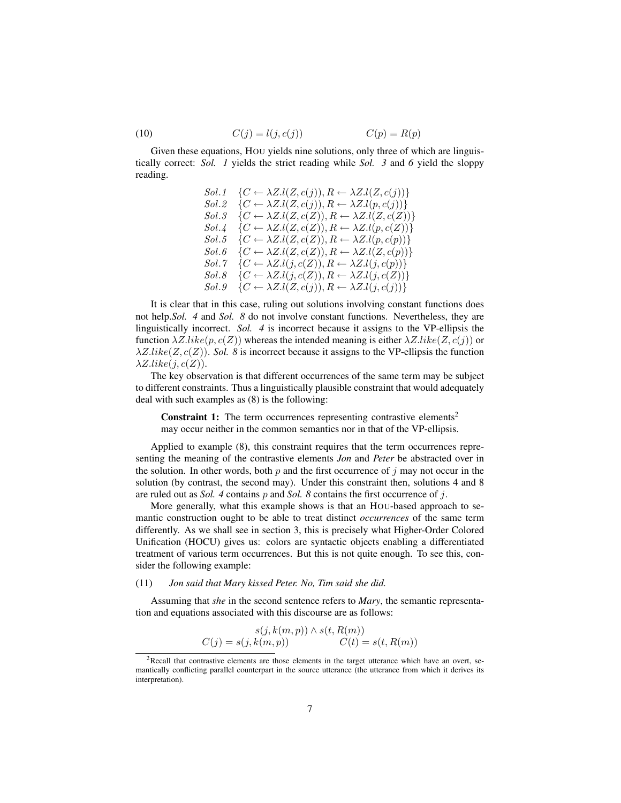$$
(10) \qquad \qquad C(j) = l(j, c(j)) \qquad \qquad C(p) = R(p)
$$

Given these equations, HOU yields nine solutions, only three of which are linguistically correct: *Sol. 1* yields the strict reading while *Sol. 3* and *6* yield the sloppy reading.

Sol.1 
$$
\{C \leftarrow \lambda Z.l(Z, c(j)), R \leftarrow \lambda Z.l(Z, c(j))\}
$$
  
\nSol.2 
$$
\{C \leftarrow \lambda Z.l(Z, c(j)), R \leftarrow \lambda Z.l(p, c(j))\}
$$
  
\nSol.3 
$$
\{C \leftarrow \lambda Z.l(Z, c(Z)), R \leftarrow \lambda Z.l(Z, c(Z))\}
$$
  
\nSol.4 
$$
\{C \leftarrow \lambda Z.l(Z, c(Z)), R \leftarrow \lambda Z.l(p, c(Z))\}
$$
  
\nSol.5 
$$
\{C \leftarrow \lambda Z.l(Z, c(Z)), R \leftarrow \lambda Z.l(p, c(p))\}
$$
  
\nSol.6 
$$
\{C \leftarrow \lambda Z.l(Z, c(Z)), R \leftarrow \lambda Z.l(Z, c(p))\}
$$
  
\nSol.7 
$$
\{C \leftarrow \lambda Z.l(j, c(Z)), R \leftarrow \lambda Z.l(j, c(p))\}
$$
  
\nSol.8 
$$
\{C \leftarrow \lambda Z.l(j, c(Z)), R \leftarrow \lambda Z.l(j, c(Z))\}
$$
  
\nSol.9 
$$
\{C \leftarrow \lambda Z.l(Z, c(j)), R \leftarrow \lambda Z.l(j, c(j))\}
$$

It is clear that in this case, ruling out solutions involving constant functions does not help.*Sol. 4* and *Sol. 8* do not involve constant functions. Nevertheless, they are linguistically incorrect. *Sol. 4* is incorrect because it assigns to the VP-ellipsis the function  $\lambda Z.$ like $(p, c(Z))$  whereas the intended meaning is either  $\lambda Z.$ like $(Z, c(j))$  or  $\lambda Z. like(Z, c(Z))$ . *Sol.* 8 is incorrect because it assigns to the VP-ellipsis the function  $\lambda Z.$ like $(j, c(Z))$ .

The key observation is that different occurrences of the same term may be subject to different constraints. Thus a linguistically plausible constraint that would adequately deal with such examples as (8) is the following:

**Constraint 1:** The term occurrences representing contrastive elements<sup>2</sup> may occur neither in the common semantics nor in that of the VP-ellipsis.

Applied to example (8), this constraint requires that the term occurrences representing the meaning of the contrastive elements *Jon* and *Peter* be abstracted over in the solution. In other words, both  $p$  and the first occurrence of  $j$  may not occur in the solution (by contrast, the second may). Under this constraint then, solutions 4 and 8 are ruled out as *Sol. 4* contains p and *Sol. 8* contains the first occurrence of j.

More generally, what this example shows is that an HOU-based approach to semantic construction ought to be able to treat distinct *occurrences* of the same term differently. As we shall see in section 3, this is precisely what Higher-Order Colored Unification (HOCU) gives us: colors are syntactic objects enabling a differentiated treatment of various term occurrences. But this is not quite enough. To see this, consider the following example:

#### (11) *Jon said that Mary kissed Peter. No, Tim said she did.*

Assuming that *she* in the second sentence refers to *Mary*, the semantic representation and equations associated with this discourse are as follows:

$$
s(j, k(m, p)) \wedge s(t, R(m))
$$
  

$$
C(j) = s(j, k(m, p)) \qquad C(t) = s(t, R(m))
$$

 ${}^{2}$ Recall that contrastive elements are those elements in the target utterance which have an overt, semantically conflicting parallel counterpart in the source utterance (the utterance from which it derives its interpretation).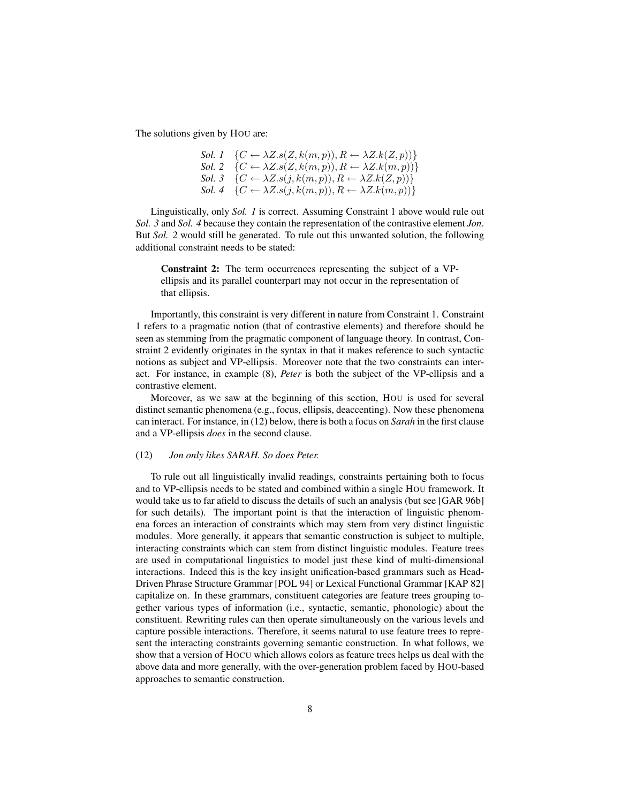The solutions given by HOU are:

Sol. 1 
$$
\{C \leftarrow \lambda Z.s(Z, k(m, p)), R \leftarrow \lambda Z.k(Z, p)\}
$$
\nSol. 2  $\{C \leftarrow \lambda Z.s(Z, k(m, p)), R \leftarrow \lambda Z.k(m, p)\}$ \nSol. 3  $\{C \leftarrow \lambda Z.s(j, k(m, p)), R \leftarrow \lambda Z.k(Z, p)\}$ \nSol. 4  $\{C \leftarrow \lambda Z.s(j, k(m, p)), R \leftarrow \lambda Z.k(m, p)\}$ 

Linguistically, only *Sol. 1* is correct. Assuming Constraint 1 above would rule out *Sol. 3* and *Sol. 4* because they contain the representation of the contrastive element *Jon*. But *Sol. 2* would still be generated. To rule out this unwanted solution, the following additional constraint needs to be stated:

Constraint 2: The term occurrences representing the subject of a VPellipsis and its parallel counterpart may not occur in the representation of that ellipsis.

Importantly, this constraint is very different in nature from Constraint 1. Constraint 1 refers to a pragmatic notion (that of contrastive elements) and therefore should be seen as stemming from the pragmatic component of language theory. In contrast, Constraint 2 evidently originates in the syntax in that it makes reference to such syntactic notions as subject and VP-ellipsis. Moreover note that the two constraints can interact. For instance, in example (8), *Peter* is both the subject of the VP-ellipsis and a contrastive element.

Moreover, as we saw at the beginning of this section, HOU is used for several distinct semantic phenomena (e.g., focus, ellipsis, deaccenting). Now these phenomena can interact. For instance, in (12) below, there is both a focus on *Sarah* in the first clause and a VP-ellipsis *does* in the second clause.

#### (12) *Jon only likes SARAH. So does Peter.*

To rule out all linguistically invalid readings, constraints pertaining both to focus and to VP-ellipsis needs to be stated and combined within a single HOU framework. It would take us to far afield to discuss the details of such an analysis (but see [GAR 96b] for such details). The important point is that the interaction of linguistic phenomena forces an interaction of constraints which may stem from very distinct linguistic modules. More generally, it appears that semantic construction is subject to multiple, interacting constraints which can stem from distinct linguistic modules. Feature trees are used in computational linguistics to model just these kind of multi-dimensional interactions. Indeed this is the key insight unification-based grammars such as Head-Driven Phrase Structure Grammar [POL 94] or Lexical Functional Grammar [KAP 82] capitalize on. In these grammars, constituent categories are feature trees grouping together various types of information (i.e., syntactic, semantic, phonologic) about the constituent. Rewriting rules can then operate simultaneously on the various levels and capture possible interactions. Therefore, it seems natural to use feature trees to represent the interacting constraints governing semantic construction. In what follows, we show that a version of HOCU which allows colors as feature trees helps us deal with the above data and more generally, with the over-generation problem faced by HOU-based approaches to semantic construction.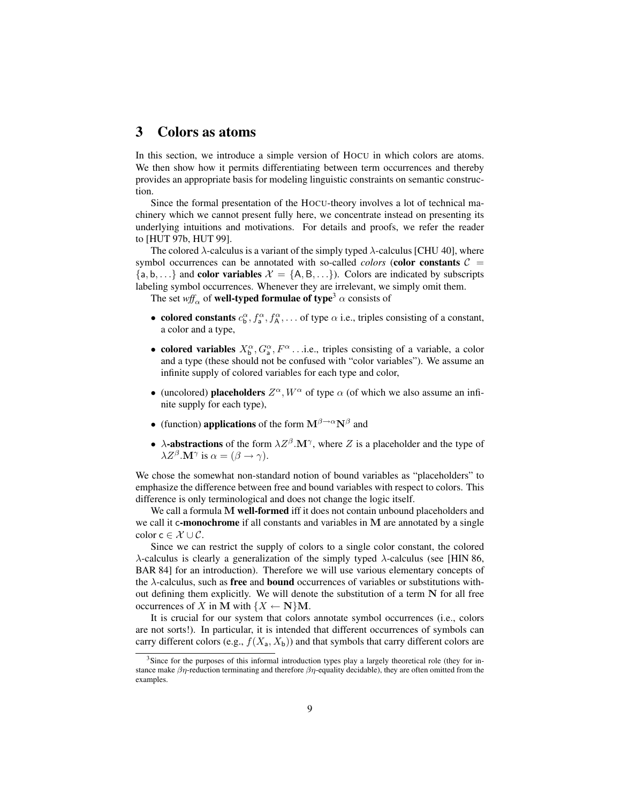# 3 Colors as atoms

In this section, we introduce a simple version of HOCU in which colors are atoms. We then show how it permits differentiating between term occurrences and thereby provides an appropriate basis for modeling linguistic constraints on semantic construction.

Since the formal presentation of the HOCU-theory involves a lot of technical machinery which we cannot present fully here, we concentrate instead on presenting its underlying intuitions and motivations. For details and proofs, we refer the reader to [HUT 97b, HUT 99].

The colored  $\lambda$ -calculus is a variant of the simply typed  $\lambda$ -calculus [CHU 40], where symbol occurrences can be annotated with so-called *colors* (**color constants**  $C =$  $\{a, b, ...\}$  and color variables  $\mathcal{X} = \{A, B, ...\}$ . Colors are indicated by subscripts labeling symbol occurrences. Whenever they are irrelevant, we simply omit them.

The set  $wff_\alpha$  of **well-typed formulae of type**<sup>3</sup>  $\alpha$  consists of

- colored constants  $c_0^{\alpha}, f_a^{\alpha}, f_A^{\alpha}, \dots$  of type  $\alpha$  i.e., triples consisting of a constant, a color and a type,
- colored variables  $X^{\alpha}_{\mathsf{b}}, G^{\alpha}_{\mathsf{a}}, F^{\alpha} \dots$  i.e., triples consisting of a variable, a color and a type (these should not be confused with "color variables"). We assume an infinite supply of colored variables for each type and color,
- (uncolored) placeholders  $Z^{\alpha}$ ,  $W^{\alpha}$  of type  $\alpha$  (of which we also assume an infinite supply for each type),
- (function) applications of the form  $M^{\beta \rightarrow \alpha} N^{\beta}$  and
- $\lambda$ -abstractions of the form  $\lambda Z^{\beta}$ . M<sup> $\gamma$ </sup>, where Z is a placeholder and the type of  $\lambda Z^{\beta}$ .**M**<sup> $\gamma$ </sup> is  $\alpha = (\beta \rightarrow \gamma)$ .

We chose the somewhat non-standard notion of bound variables as "placeholders" to emphasize the difference between free and bound variables with respect to colors. This difference is only terminological and does not change the logic itself.

We call a formula M well-formed iff it does not contain unbound placeholders and we call it c-monochrome if all constants and variables in M are annotated by a single color  $c \in \mathcal{X} \cup \mathcal{C}$ .

Since we can restrict the supply of colors to a single color constant, the colored  $\lambda$ -calculus is clearly a generalization of the simply typed  $\lambda$ -calculus (see [HIN 86, BAR 84] for an introduction). Therefore we will use various elementary concepts of the  $\lambda$ -calculus, such as **free** and **bound** occurrences of variables or substitutions without defining them explicitly. We will denote the substitution of a term  $N$  for all free occurrences of X in M with  $\{X \leftarrow \mathbf{N}\}\mathbf{M}$ .

It is crucial for our system that colors annotate symbol occurrences (i.e., colors are not sorts!). In particular, it is intended that different occurrences of symbols can carry different colors (e.g.,  $f(X_a, X_b)$ ) and that symbols that carry different colors are

<sup>&</sup>lt;sup>3</sup>Since for the purposes of this informal introduction types play a largely theoretical role (they for instance make  $\beta \eta$ -reduction terminating and therefore  $\beta \eta$ -equality decidable), they are often omitted from the examples.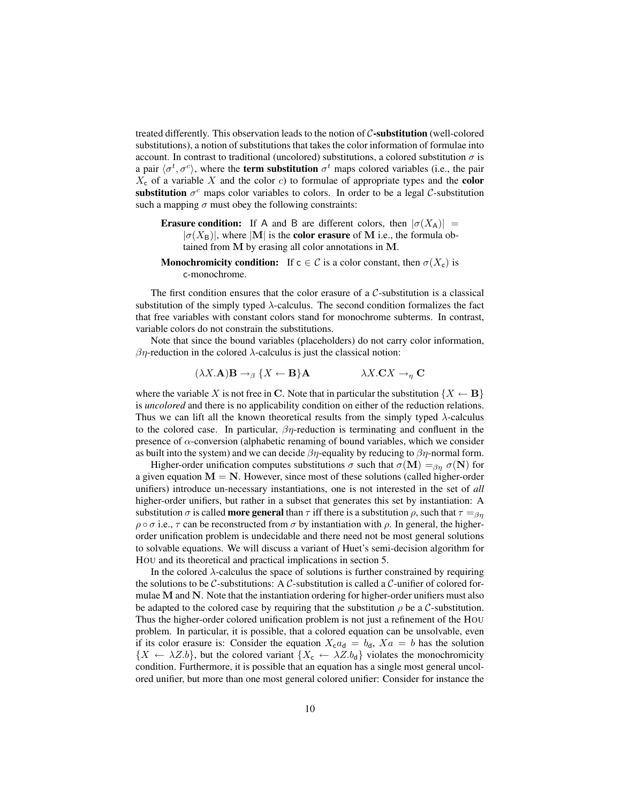treated differently. This observation leads to the notion of  $C$ -substitution (well-colored substitutions), a notion of substitutions that takes the color information of formulae into account. In contrast to traditional (uncolored) substitutions, a colored substitution  $\sigma$  is a pair  $\langle \sigma^t, \sigma^c \rangle$ , where the **term substitution**  $\sigma^t$  maps colored variables (i.e., the pair  $X_c$  of a variable X and the color c) to formulae of appropriate types and the color substitution  $\sigma^c$  maps color variables to colors. In order to be a legal  $\mathcal{C}$ -substitution such a mapping  $\sigma$  must obey the following constraints:

- **Erasure condition:** If A and B are different colors, then  $|\sigma(X_A)|$  =  $|\sigma(X_{\rm B})|$ , where |M| is the **color erasure** of M i.e., the formula obtained from M by erasing all color annotations in M.
- **Monochromicity condition:** If  $c \in C$  is a color constant, then  $\sigma(X_c)$  is c-monochrome.

The first condition ensures that the color erasure of a  $C$ -substitution is a classical substitution of the simply typed  $\lambda$ -calculus. The second condition formalizes the fact that free variables with constant colors stand for monochrome subterms. In contrast, variable colors do not constrain the substitutions.

Note that since the bound variables (placeholders) do not carry color information,  $βη$ -reduction in the colored  $λ$ -calculus is just the classical notion:

$$
(\lambda X. \mathbf{A}) \mathbf{B} \to_{\beta} \{ X \leftarrow \mathbf{B} \} \mathbf{A} \qquad \lambda X. \mathbf{C} X \to_{\eta} \mathbf{C}
$$

where the variable X is not free in C. Note that in particular the substitution  $\{X \leftarrow \mathbf{B}\}\$ is *uncolored* and there is no applicability condition on either of the reduction relations. Thus we can lift all the known theoretical results from the simply typed  $\lambda$ -calculus to the colored case. In particular,  $\beta \eta$ -reduction is terminating and confluent in the presence of  $\alpha$ -conversion (alphabetic renaming of bound variables, which we consider as built into the system) and we can decide  $\beta\eta$ -equality by reducing to  $\beta\eta$ -normal form.

Higher-order unification computes substitutions  $\sigma$  such that  $\sigma(\mathbf{M}) =_{\beta n} \sigma(\mathbf{N})$  for a given equation  $M = N$ . However, since most of these solutions (called higher-order unifiers) introduce un-necessary instantiations, one is not interested in the set of *all* higher-order unifiers, but rather in a subset that generates this set by instantiation: A substitution  $\sigma$  is called **more general** than  $\tau$  iff there is a substitution  $\rho$ , such that  $\tau =_{\beta\eta}$  $\rho \circ \sigma$  i.e.,  $\tau$  can be reconstructed from  $\sigma$  by instantiation with  $\rho$ . In general, the higherorder unification problem is undecidable and there need not be most general solutions to solvable equations. We will discuss a variant of Huet's semi-decision algorithm for HOU and its theoretical and practical implications in section 5.

In the colored λ-calculus the space of solutions is further constrained by requiring the solutions to be  $C$ -substitutions: A  $C$ -substitution is called a  $C$ -unifier of colored formulae M and N. Note that the instantiation ordering for higher-order unifiers must also be adapted to the colored case by requiring that the substitution  $\rho$  be a C-substitution. Thus the higher-order colored unification problem is not just a refinement of the HOU problem. In particular, it is possible, that a colored equation can be unsolvable, even if its color erasure is: Consider the equation  $X_{c}a_{d} = b_{d}$ ,  $X_{a} = b$  has the solution  ${X \leftarrow \lambda Z.b}$ , but the colored variant  ${X_c \leftarrow \lambda Z.b_d}$  violates the monochromicity condition. Furthermore, it is possible that an equation has a single most general uncolored unifier, but more than one most general colored unifier: Consider for instance the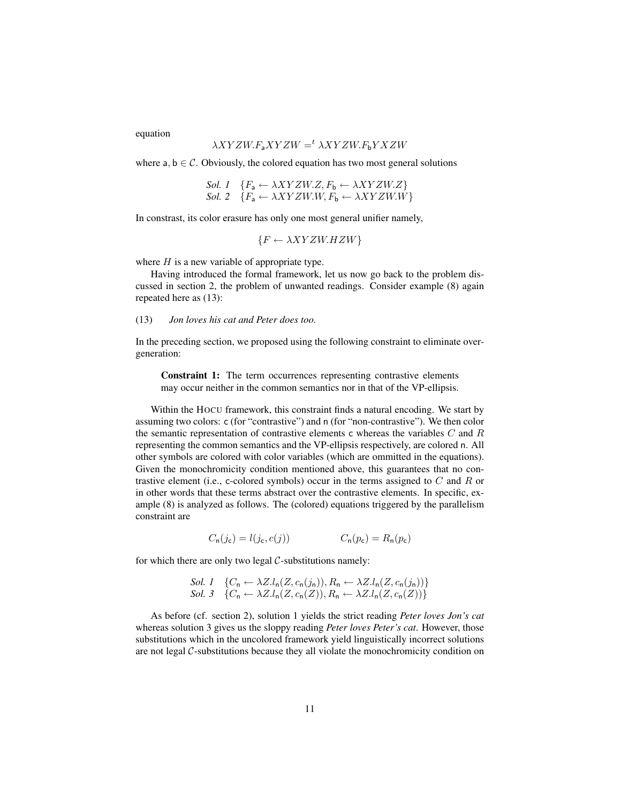equation

# $\lambda XYZW.F_{a}XYZW =^t \lambda XYZW.F_{b}YXZW$

where  $a, b \in \mathcal{C}$ . Obviously, the colored equation has two most general solutions

$$
Sol. 1 \quad \{F_a \leftarrow \lambda XYZW.Z, F_b \leftarrow \lambda XYZW.Z\}
$$
  

$$
Sol. 2 \quad \{F_a \leftarrow \lambda XYZW.W, F_b \leftarrow \lambda XYZW.W\}
$$

In constrast, its color erasure has only one most general unifier namely,

 ${F \leftarrow \lambda XYZW.HZW}$ 

where  $H$  is a new variable of appropriate type.

Having introduced the formal framework, let us now go back to the problem discussed in section 2, the problem of unwanted readings. Consider example (8) again repeated here as (13):

(13) *Jon loves his cat and Peter does too.*

In the preceding section, we proposed using the following constraint to eliminate overgeneration:

Constraint 1: The term occurrences representing contrastive elements may occur neither in the common semantics nor in that of the VP-ellipsis.

Within the HOCU framework, this constraint finds a natural encoding. We start by assuming two colors: c (for "contrastive") and n (for "non-contrastive"). We then color the semantic representation of contrastive elements c whereas the variables  $C$  and  $R$ representing the common semantics and the VP-ellipsis respectively, are colored n. All other symbols are colored with color variables (which are ommitted in the equations). Given the monochromicity condition mentioned above, this guarantees that no contrastive element (i.e., c-colored symbols) occur in the terms assigned to  $C$  and  $R$  or in other words that these terms abstract over the contrastive elements. In specific, example (8) is analyzed as follows. The (colored) equations triggered by the parallelism constraint are

 $C_n(j_c) = l(j_c, c(j))$   $C_n(p_c) = R_n(p_c)$ 

for which there are only two legal  $C$ -substitutions namely:

$$
Sol. 1 \quad \{C_n \leftarrow \lambda Z. l_n(Z, c_n(j_n)), R_n \leftarrow \lambda Z. l_n(Z, c_n(j_n))\}
$$
  

$$
Sol. 3 \quad \{C_n \leftarrow \lambda Z. l_n(Z, c_n(Z)), R_n \leftarrow \lambda Z. l_n(Z, c_n(Z))\}
$$

As before (cf. section 2), solution 1 yields the strict reading *Peter loves Jon's cat* whereas solution 3 gives us the sloppy reading *Peter loves Peter's cat*. However, those substitutions which in the uncolored framework yield linguistically incorrect solutions are not legal C-substitutions because they all violate the monochromicity condition on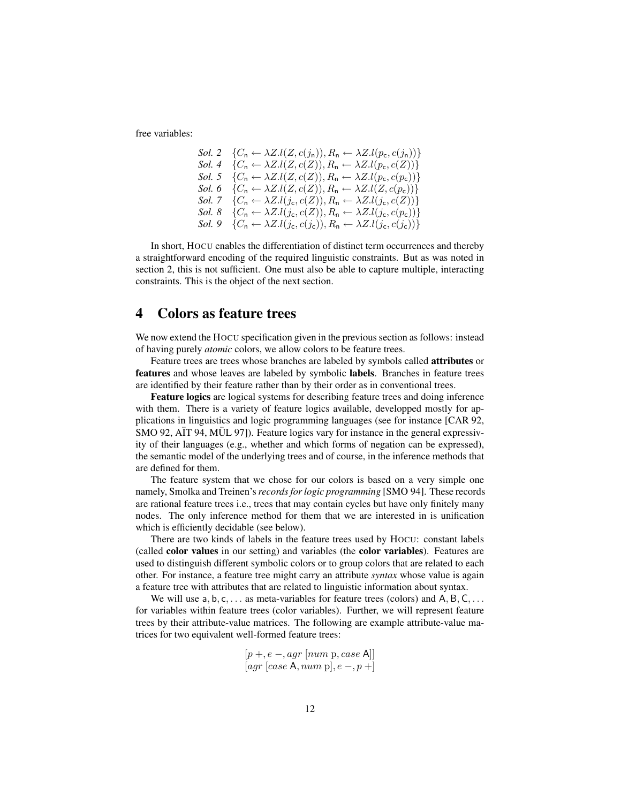free variables:

Sol. 2 
$$
\{C_n \leftarrow \lambda Z.l(Z, c(j_n)), R_n \leftarrow \lambda Z.l(p_c, c(j_n))\}
$$
\nSol. 4  $\{C_n \leftarrow \lambda Z.l(Z, c(Z)), R_n \leftarrow \lambda Z.l(p_c, c(Z))\}$ \nSol. 5  $\{C_n \leftarrow \lambda Z.l(Z, c(Z)), R_n \leftarrow \lambda Z.l(p_c, c(p_c))\}$ \nSol. 6  $\{C_n \leftarrow \lambda Z.l(Z, c(Z)), R_n \leftarrow \lambda Z.l(Z, c(p_c))\}$ \nSol. 7  $\{C_n \leftarrow \lambda Z.l(j_c, c(Z)), R_n \leftarrow \lambda Z.l(j_c, c(Z))\}$ \nSol. 8  $\{C_n \leftarrow \lambda Z.l(j_c, c(Z)), R_n \leftarrow \lambda Z.l(j_c, c(p_c))\}$ \nSol. 9  $\{C_n \leftarrow \lambda Z.l(j_c, c(j_c)), R_n \leftarrow \lambda Z.l(j_c, c(j_c))\}$ 

In short, HOCU enables the differentiation of distinct term occurrences and thereby a straightforward encoding of the required linguistic constraints. But as was noted in section 2, this is not sufficient. One must also be able to capture multiple, interacting constraints. This is the object of the next section.

# 4 Colors as feature trees

We now extend the HOCU specification given in the previous section as follows: instead of having purely *atomic* colors, we allow colors to be feature trees.

Feature trees are trees whose branches are labeled by symbols called attributes or features and whose leaves are labeled by symbolic labels. Branches in feature trees are identified by their feature rather than by their order as in conventional trees.

Feature logics are logical systems for describing feature trees and doing inference with them. There is a variety of feature logics available, developped mostly for applications in linguistics and logic programming languages (see for instance [CAR 92, SMO 92, AÏT 94, MÜL 97]). Feature logics vary for instance in the general expressivity of their languages (e.g., whether and which forms of negation can be expressed), the semantic model of the underlying trees and of course, in the inference methods that are defined for them.

The feature system that we chose for our colors is based on a very simple one namely, Smolka and Treinen's*records for logic programming* [SMO 94]. These records are rational feature trees i.e., trees that may contain cycles but have only finitely many nodes. The only inference method for them that we are interested in is unification which is efficiently decidable (see below).

There are two kinds of labels in the feature trees used by HOCU: constant labels (called color values in our setting) and variables (the color variables). Features are used to distinguish different symbolic colors or to group colors that are related to each other. For instance, a feature tree might carry an attribute *syntax* whose value is again a feature tree with attributes that are related to linguistic information about syntax.

We will use  $a, b, c, \ldots$  as meta-variables for feature trees (colors) and A, B, C,  $\ldots$ for variables within feature trees (color variables). Further, we will represent feature trees by their attribute-value matrices. The following are example attribute-value matrices for two equivalent well-formed feature trees:

$$
\begin{matrix} [p+, e-, agr\ [num\ p, case\ A]]\\ [agr\ [case\ A, num\ p], e-, p+] \end{matrix}
$$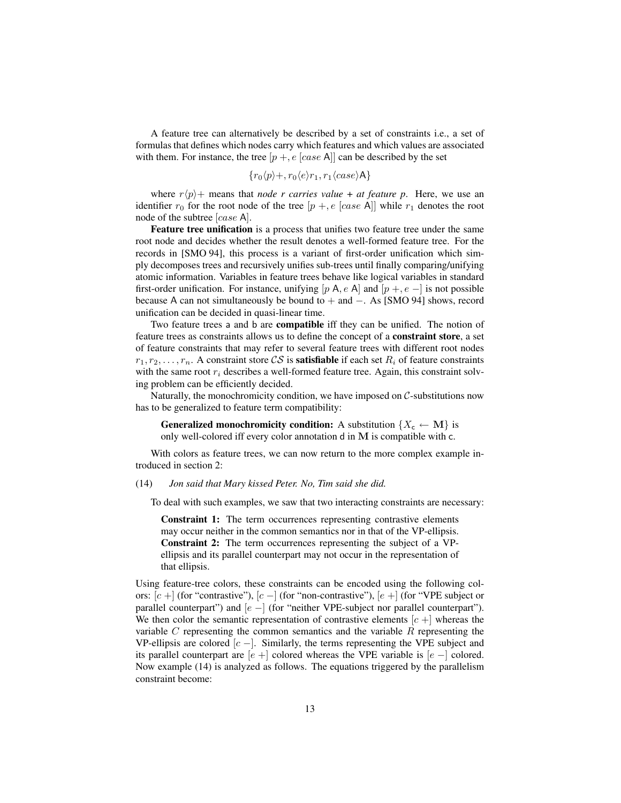A feature tree can alternatively be described by a set of constraints i.e., a set of formulas that defines which nodes carry which features and which values are associated with them. For instance, the tree  $[p + e \, [case A]]$  can be described by the set

$$
\{r_0\langle p\rangle +, r_0\langle e\rangle r_1, r_1\langle case\rangle A\}
$$

where  $r\langle p \rangle +$  means that *node r carries value* + *at feature p*. Here, we use an identifier  $r_0$  for the root node of the tree  $[p +, e]$  (case A]] while  $r_1$  denotes the root node of the subtree [case A].

Feature tree unification is a process that unifies two feature tree under the same root node and decides whether the result denotes a well-formed feature tree. For the records in [SMO 94], this process is a variant of first-order unification which simply decomposes trees and recursively unifies sub-trees until finally comparing/unifying atomic information. Variables in feature trees behave like logical variables in standard first-order unification. For instance, unifying [p A, e A] and  $[p +, e -]$  is not possible because A can not simultaneously be bound to + and −. As [SMO 94] shows, record unification can be decided in quasi-linear time.

Two feature trees a and b are compatible iff they can be unified. The notion of feature trees as constraints allows us to define the concept of a constraint store, a set of feature constraints that may refer to several feature trees with different root nodes  $r_1, r_2, \ldots, r_n$ . A constraint store CS is **satisfiable** if each set  $R_i$  of feature constraints with the same root  $r_i$  describes a well-formed feature tree. Again, this constraint solving problem can be efficiently decided.

Naturally, the monochromicity condition, we have imposed on  $C$ -substitutions now has to be generalized to feature term compatibility:

**Generalized monochromicity condition:** A substitution  $\{X_c \leftarrow \mathbf{M}\}\$ is only well-colored iff every color annotation d in M is compatible with c.

With colors as feature trees, we can now return to the more complex example introduced in section 2:

#### (14) *Jon said that Mary kissed Peter. No, Tim said she did.*

To deal with such examples, we saw that two interacting constraints are necessary:

Constraint 1: The term occurrences representing contrastive elements may occur neither in the common semantics nor in that of the VP-ellipsis. Constraint 2: The term occurrences representing the subject of a VPellipsis and its parallel counterpart may not occur in the representation of that ellipsis.

Using feature-tree colors, these constraints can be encoded using the following colors: [c +] (for "contrastive"), [c -] (for "non-contrastive"), [e +] (for "VPE subject or parallel counterpart") and  $[e -]$  (for "neither VPE-subject nor parallel counterpart"). We then color the semantic representation of contrastive elements  $[c +]$  whereas the variable C representing the common semantics and the variable  $R$  representing the VP-ellipsis are colored  $[c -]$ . Similarly, the terms representing the VPE subject and its parallel counterpart are  $[e +]$  colored whereas the VPE variable is  $[e -]$  colored. Now example (14) is analyzed as follows. The equations triggered by the parallelism constraint become: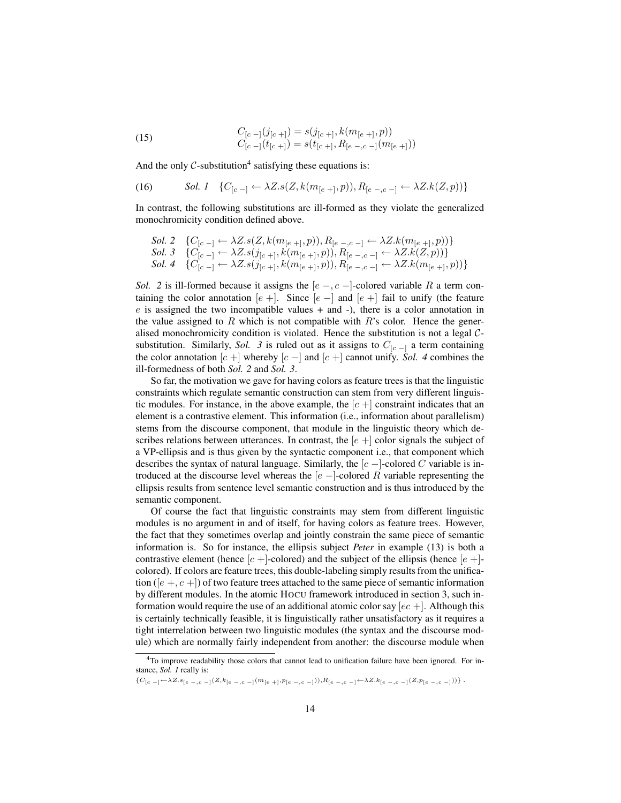(15) 
$$
C_{[c-]}(j_{[c+]}) = s(j_{[c+]}, k(m_{[e+]}, p))
$$

$$
C_{[c-]}(t_{[c+]}) = s(t_{[c+]}, R_{[e-,c-]}(m_{[e+]}))
$$

And the only  $C$ -substitution<sup>4</sup> satisfying these equations is:

(16) 
$$
\text{Sol. } 1 \quad \{C_{[c-]} \leftarrow \lambda Z. s(Z, k(m_{[e+]}, p)), R_{[e-,c-]} \leftarrow \lambda Z. k(Z, p))\}
$$

In contrast, the following substitutions are ill-formed as they violate the generalized monochromicity condition defined above.

Sol. 2 
$$
\{C_{[c-]} \leftarrow \lambda Z. s(Z, k(m_{[e+]}, p)), R_{[e-,c-]} \leftarrow \lambda Z. k(m_{[e+]}, p)\}
$$
  
\nSol. 3 
$$
\{C_{[c-]} \leftarrow \lambda Z. s(j_{[c+]}, k(m_{[e+]}, p)), R_{[e-,c-]} \leftarrow \lambda Z. k(Z, p)\}
$$
  
\nSol. 4 
$$
\{C_{[c-]} \leftarrow \lambda Z. s(j_{[c+]}, k(m_{[e+]}, p)), R_{[e-,c-]} \leftarrow \lambda Z. k(m_{[e+]}, p)\}
$$

*Sol.* 2 is ill-formed because it assigns the  $[e, -c, -]$ -colored variable R a term containing the color annotation  $[e +]$ . Since  $[e -]$  and  $[e +]$  fail to unify (the feature  $e$  is assigned the two incompatible values  $+$  and  $-$ ), there is a color annotation in the value assigned to R which is not compatible with  $R$ 's color. Hence the generalised monochromicity condition is violated. Hence the substitution is not a legal Csubstitution. Similarly, *Sol.* 3 is ruled out as it assigns to  $C_{[c-]}$  a term containing the color annotation  $[c +]$  whereby  $[c -]$  and  $[c +]$  cannot unify. *Sol. 4* combines the ill-formedness of both *Sol. 2* and *Sol. 3*.

So far, the motivation we gave for having colors as feature trees is that the linguistic constraints which regulate semantic construction can stem from very different linguistic modules. For instance, in the above example, the  $[c+]$  constraint indicates that an element is a contrastive element. This information (i.e., information about parallelism) stems from the discourse component, that module in the linguistic theory which describes relations between utterances. In contrast, the  $[e]$  color signals the subject of a VP-ellipsis and is thus given by the syntactic component i.e., that component which describes the syntax of natural language. Similarly, the  $[c -]$ -colored C variable is introduced at the discourse level whereas the  $[e -]$ -colored R variable representing the ellipsis results from sentence level semantic construction and is thus introduced by the semantic component.

Of course the fact that linguistic constraints may stem from different linguistic modules is no argument in and of itself, for having colors as feature trees. However, the fact that they sometimes overlap and jointly constrain the same piece of semantic information is. So for instance, the ellipsis subject *Peter* in example (13) is both a contrastive element (hence  $[c+]$ -colored) and the subject of the ellipsis (hence  $[e+]$ colored). If colors are feature trees, this double-labeling simply results from the unification ( $[e +, c +]$ ) of two feature trees attached to the same piece of semantic information by different modules. In the atomic HOCU framework introduced in section 3, such information would require the use of an additional atomic color say  $[ec +]$ . Although this is certainly technically feasible, it is linguistically rather unsatisfactory as it requires a tight interrelation between two linguistic modules (the syntax and the discourse module) which are normally fairly independent from another: the discourse module when

<sup>4</sup>To improve readability those colors that cannot lead to unification failure have been ignored. For instance, *Sol. 1* really is:

 ${C[c_{-1} \leftarrow \lambda Z.s_{[e_{-},c_{-}]}(Z,k_{[e_{-},c_{-}]}(m_{[e_{+}]},p_{[e_{-},c_{-}]}))}, R_{[e_{-},c_{-}]} \leftarrow \lambda Z.k_{[e_{-},c_{-}]}(Z,p_{[e_{-},c_{-}]})}$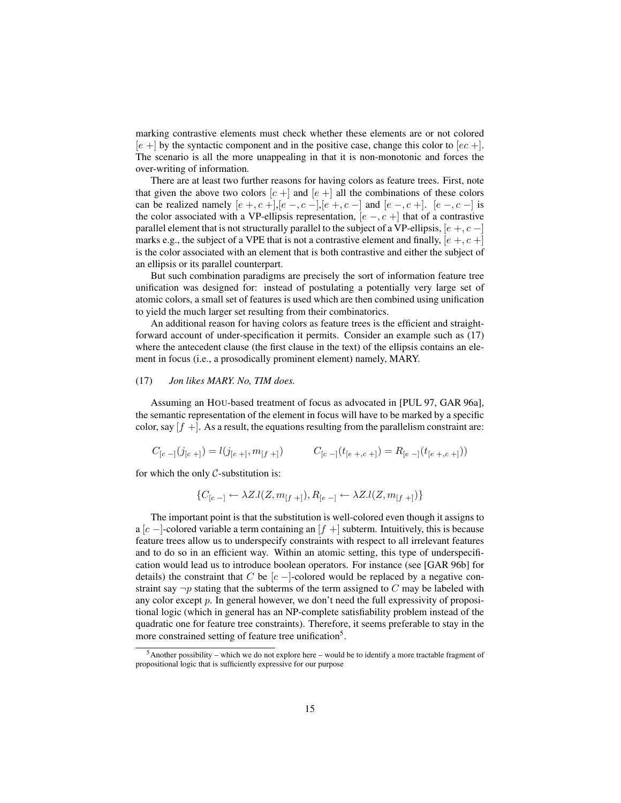marking contrastive elements must check whether these elements are or not colored  $[e +]$  by the syntactic component and in the positive case, change this color to  $[ec +]$ . The scenario is all the more unappealing in that it is non-monotonic and forces the over-writing of information.

There are at least two further reasons for having colors as feature trees. First, note that given the above two colors  $[c+]$  and  $[e+]$  all the combinations of these colors can be realized namely  $[e +, c +]$ ,  $[e -, c -]$ ,  $[e +, c -]$  and  $[e -, c +]$ .  $[e -, c -]$  is the color associated with a VP-ellipsis representation,  $[e-, c]$  that of a contrastive parallel element that is not structurally parallel to the subject of a VP-ellipsis,  $[e +, c -]$ marks e.g., the subject of a VPE that is not a contrastive element and finally,  $[e, +, c]$ is the color associated with an element that is both contrastive and either the subject of an ellipsis or its parallel counterpart.

But such combination paradigms are precisely the sort of information feature tree unification was designed for: instead of postulating a potentially very large set of atomic colors, a small set of features is used which are then combined using unification to yield the much larger set resulting from their combinatorics.

An additional reason for having colors as feature trees is the efficient and straightforward account of under-specification it permits. Consider an example such as (17) where the antecedent clause (the first clause in the text) of the ellipsis contains an element in focus (i.e., a prosodically prominent element) namely, MARY.

#### (17) *Jon likes MARY. No, TIM does.*

Assuming an HOU-based treatment of focus as advocated in [PUL 97, GAR 96a], the semantic representation of the element in focus will have to be marked by a specific color, say  $[f]$  +  $\lambda$ s a result, the equations resulting from the parallelism constraint are:

$$
C_{[c-]}(j_{[c+]}=l(j_{[c+]},m_{[f+]})
$$

$$
C_{[c-]}(t_{[e+,c+]})=R_{[e-]}(t_{[e+,c+]})
$$

for which the only  $C$ -substitution is:

$$
\{C_{[c-]} \leftarrow \lambda Z.l(Z, m_{[f+]}), R_{[e-]} \leftarrow \lambda Z.l(Z, m_{[f+]})\}
$$

The important point is that the substitution is well-colored even though it assigns to a [c –]-colored variable a term containing an  $[f]$  subterm. Intuitively, this is because feature trees allow us to underspecify constraints with respect to all irrelevant features and to do so in an efficient way. Within an atomic setting, this type of underspecification would lead us to introduce boolean operators. For instance (see [GAR 96b] for details) the constraint that C be  $[c -]$ -colored would be replaced by a negative constraint say  $\neg p$  stating that the subterms of the term assigned to C may be labeled with any color except  $p$ . In general however, we don't need the full expressivity of propositional logic (which in general has an NP-complete satisfiability problem instead of the quadratic one for feature tree constraints). Therefore, it seems preferable to stay in the more constrained setting of feature tree unification<sup>5</sup>.

<sup>5</sup>Another possibility – which we do not explore here – would be to identify a more tractable fragment of propositional logic that is sufficiently expressive for our purpose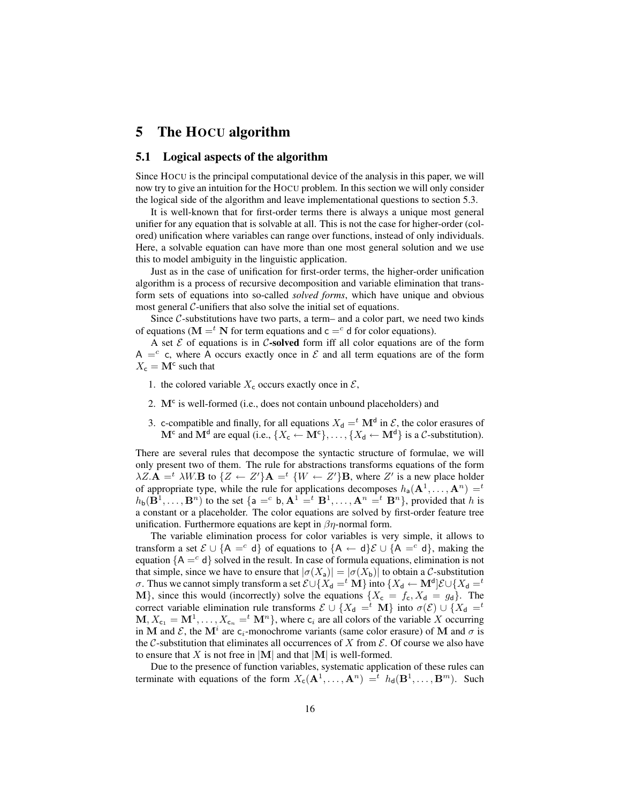# 5 The HOCU algorithm

#### 5.1 Logical aspects of the algorithm

Since HOCU is the principal computational device of the analysis in this paper, we will now try to give an intuition for the HOCU problem. In this section we will only consider the logical side of the algorithm and leave implementational questions to section 5.3.

It is well-known that for first-order terms there is always a unique most general unifier for any equation that is solvable at all. This is not the case for higher-order (colored) unification where variables can range over functions, instead of only individuals. Here, a solvable equation can have more than one most general solution and we use this to model ambiguity in the linguistic application.

Just as in the case of unification for first-order terms, the higher-order unification algorithm is a process of recursive decomposition and variable elimination that transform sets of equations into so-called *solved forms*, which have unique and obvious most general  $C$ -unifiers that also solve the initial set of equations.

Since  $C$ -substitutions have two parts, a term– and a color part, we need two kinds of equations ( $\mathbf{M} = t \mathbf{N}$  for term equations and  $\mathbf{c} = c$  d for color equations).

A set  $\mathcal E$  of equations is in C-solved form iff all color equations are of the form A = c, where A occurs exactly once in  $\mathcal E$  and all term equations are of the form  $X_c = M^c$  such that

- 1. the colored variable  $X_c$  occurs exactly once in  $\mathcal{E}$ ,
- 2. M<sup>c</sup> is well-formed (i.e., does not contain unbound placeholders) and
- 3. c-compatible and finally, for all equations  $X_d = t \mathbf{M}^d$  in  $\mathcal{E}$ , the color erasures of  $M^c$  and  $M^d$  are equal (i.e.,  $\{X_c \leftarrow M^c\}, \dots, \{X_d \leftarrow M^d\}$  is a  $C$ -substitution).

There are several rules that decompose the syntactic structure of formulae, we will only present two of them. The rule for abstractions transforms equations of the form  $\lambda Z \cdot \mathbf{A} =^t \lambda W \cdot \mathbf{B}$  to  $\{Z \leftarrow Z'\} \mathbf{A} =^t \{W \leftarrow Z'\} \mathbf{B}$ , where  $Z'$  is a new place holder of appropriate type, while the rule for applications decomposes  $h_a(\mathbf{A}^1, \dots, \mathbf{A}^n) =$  $h_{\mathbf{b}}(\mathbf{B}^1,\ldots,\mathbf{B}^n)$  to the set  $\{\mathsf{a} =^c \mathsf{b}, \mathbf{A}^1 =^t \mathbf{B}^1,\ldots,\mathbf{A}^n =^t \mathbf{B}^n\}$ , provided that h is a constant or a placeholder. The color equations are solved by first-order feature tree unification. Furthermore equations are kept in  $\beta\eta$ -normal form.

The variable elimination process for color variables is very simple, it allows to transform a set  $\mathcal{E} \cup \{A = c \}$  of equations to  $\{A \leftarrow d\} \mathcal{E} \cup \{A = c \}$ , making the equation  ${A = c d}$  solved in the result. In case of formula equations, elimination is not that simple, since we have to ensure that  $|\sigma(X_a)| = |\sigma(X_b)|$  to obtain a C-substitution σ. Thus we cannot simply transform a set  $\mathcal{E} \cup \{X_d = ^t \mathbf{M}\}$  into  $\{X_d \leftarrow \mathbf{M}^d\} \mathcal{E} \cup \{X_d = ^t \mathbf{M}\}$ M}, since this would (incorrectly) solve the equations  $\{X_c = f_c, X_d = g_d\}$ . The correct variable elimination rule transforms  $\mathcal{E} \cup \{X_d =^t M\}$  into  $\sigma(\mathcal{E}) \cup \{X_d =^t L\}$  $M, X_{c_1} = M^1, \ldots, X_{c_n} =^t M^n$ , where  $c_i$  are all colors of the variable X occurring in M and  $\mathcal{E}$ , the M<sup>*i*</sup> are c<sub>*i*</sub>-monochrome variants (same color erasure) of M and  $\sigma$  is the C-substitution that eliminates all occurrences of X from  $\mathcal E$ . Of course we also have to ensure that X is not free in  $|M|$  and that  $|M|$  is well-formed.

Due to the presence of function variables, systematic application of these rules can terminate with equations of the form  $X_c(\mathbf{A}^1, \dots, \mathbf{A}^n) =^t h_d(\mathbf{B}^1, \dots, \mathbf{B}^m)$ . Such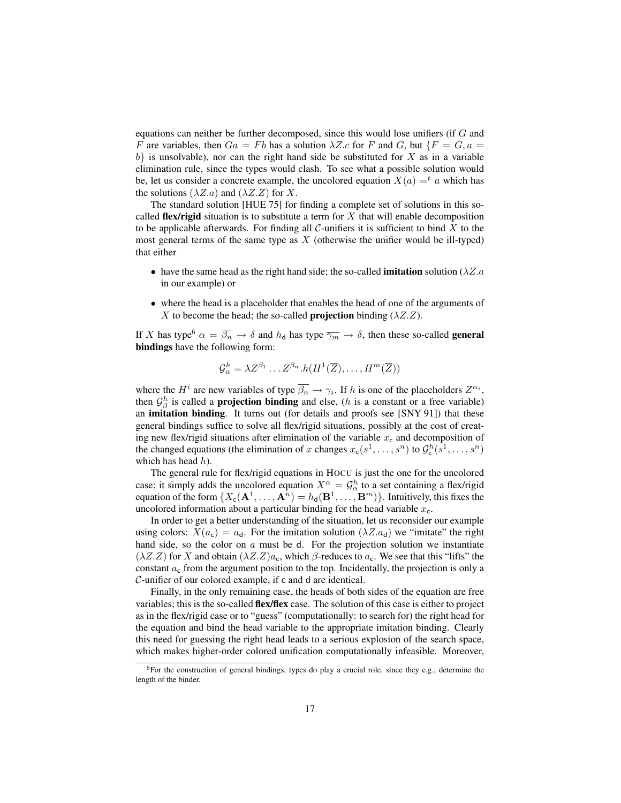equations can neither be further decomposed, since this would lose unifiers (if G and F are variables, then  $Ga = Fb$  has a solution  $\lambda Z.c$  for F and G, but  $\{F = G, a =$  $b$  is unsolvable), nor can the right hand side be substituted for X as in a variable elimination rule, since the types would clash. To see what a possible solution would be, let us consider a concrete example, the uncolored equation  $X(a) = a$  which has the solutions  $(\lambda Z.a)$  and  $(\lambda Z.Z)$  for X.

The standard solution [HUE 75] for finding a complete set of solutions in this socalled flex/rigid situation is to substitute a term for  $X$  that will enable decomposition to be applicable afterwards. For finding all  $C$ -unifiers it is sufficient to bind  $X$  to the most general terms of the same type as  $X$  (otherwise the unifier would be ill-typed) that either

- have the same head as the right hand side; the so-called **imitation** solution ( $\lambda Z.a$ in our example) or
- where the head is a placeholder that enables the head of one of the arguments of X to become the head; the so-called **projection** binding ( $\lambda Z.Z$ ).

If X has type<sup>6</sup>  $\alpha = \overline{\beta_n} \to \delta$  and  $h_d$  has type  $\overline{\gamma_m} \to \delta$ , then these so-called **general** bindings have the following form:

$$
\mathcal{G}^h_{\alpha} = \lambda Z^{\beta_1} \dots Z^{\beta_n} . h(H^1(\overline{Z}), \dots, H^m(\overline{Z}))
$$

where the  $H^i$  are new variables of type  $\overline{\beta_n} \to \gamma_i$ . If h is one of the placeholders  $Z^{\alpha_i}$ , then  $\mathcal{G}_{\beta}^{h}$  is called a **projection binding** and else, (*h* is a constant or a free variable) an imitation binding. It turns out (for details and proofs see [SNY 91]) that these general bindings suffice to solve all flex/rigid situations, possibly at the cost of creating new flex/rigid situations after elimination of the variable  $x_c$  and decomposition of the changed equations (the elimination of x changes  $x_c(s^1, \ldots, s^n)$  to  $\mathcal{G}_c^h(s^1, \ldots, s^n)$ ) which has head  $h$ ).

The general rule for flex/rigid equations in HOCU is just the one for the uncolored case; it simply adds the uncolored equation  $X^{\alpha} = \mathcal{G}_{\alpha}^{h}$  to a set containing a flex/rigid equation of the form  $\{X_{\mathsf{c}}(\mathbf{A}^1, \dots, \mathbf{A}^n) = h_{\mathsf{d}}(\mathbf{B}^1, \dots, \mathbf{B}^m)\}$ . Intuitively, this fixes the uncolored information about a particular binding for the head variable  $x_c$ .

In order to get a better understanding of the situation, let us reconsider our example using colors:  $X(a_c) = a_d$ . For the imitation solution  $(\lambda Z.a_d)$  we "imitate" the right hand side, so the color on  $a$  must be d. For the projection solution we instantiate  $(\lambda Z.Z)$  for X and obtain  $(\lambda Z.Z)a_c$ , which  $\beta$ -reduces to  $a_c$ . We see that this "lifts" the constant  $a_c$  from the argument position to the top. Incidentally, the projection is only a C-unifier of our colored example, if c and d are identical.

Finally, in the only remaining case, the heads of both sides of the equation are free variables; this is the so-called flex/flex case. The solution of this case is either to project as in the flex/rigid case or to "guess" (computationally: to search for) the right head for the equation and bind the head variable to the appropriate imitation binding. Clearly this need for guessing the right head leads to a serious explosion of the search space, which makes higher-order colored unification computationally infeasible. Moreover,

<sup>6</sup>For the construction of general bindings, types do play a crucial role, since they e.g., determine the length of the binder.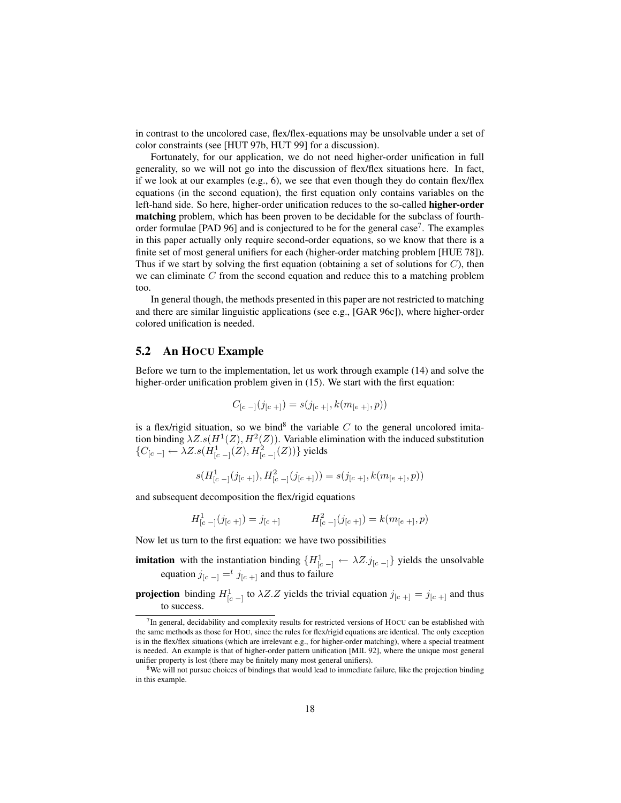in contrast to the uncolored case, flex/flex-equations may be unsolvable under a set of color constraints (see [HUT 97b, HUT 99] for a discussion).

Fortunately, for our application, we do not need higher-order unification in full generality, so we will not go into the discussion of flex/flex situations here. In fact, if we look at our examples (e.g., 6), we see that even though they do contain flex/flex equations (in the second equation), the first equation only contains variables on the left-hand side. So here, higher-order unification reduces to the so-called higher-order matching problem, which has been proven to be decidable for the subclass of fourthorder formulae [PAD 96] and is conjectured to be for the general case<sup>7</sup>. The examples in this paper actually only require second-order equations, so we know that there is a finite set of most general unifiers for each (higher-order matching problem [HUE 78]). Thus if we start by solving the first equation (obtaining a set of solutions for  $C$ ), then we can eliminate  $C$  from the second equation and reduce this to a matching problem too.

In general though, the methods presented in this paper are not restricted to matching and there are similar linguistic applications (see e.g., [GAR 96c]), where higher-order colored unification is needed.

#### 5.2 An HOCU Example

Before we turn to the implementation, let us work through example (14) and solve the higher-order unification problem given in (15). We start with the first equation:

$$
C_{[c-]}(j_{[c+]}) = s(j_{[c+]}, k(m_{[e+]}, p))
$$

is a flex/rigid situation, so we bind<sup>8</sup> the variable  $C$  to the general uncolored imitation binding  $\lambda Z. s(H^1(Z), H^2(Z))$ . Variable elimination with the induced substitution { $C_{[c]-]} \leftarrow \lambda Z . s(H_{[c]-]}^{1}(Z), H_{[c]-]}^{2}(Z))$ } yields

$$
s(H^1_{[c-]}(j_{[c+]}), H^2_{[c-]}(j_{[c+]})) = s(j_{[c+]} , k(m_{[e+]} , p))
$$

and subsequent decomposition the flex/rigid equations

 $H^1_{[c-]}(j_{[c+]}) = j_{[c+]}$   $H^2_{[c-]}(j_{[c+]}) = k(m_{[e+]},p)$ 

Now let us turn to the first equation: we have two possibilities

- **imitation** with the instantiation binding  $\{H_{[c-]}^1 \leftarrow \lambda Z.j_{[c-]}\}$  yields the unsolvable equation  $j_{[c] -} =$ <sup>t</sup>  $j_{[c] +}$  and thus to failure
- **projection** binding  $H_{[c-]}^1$  to  $\lambda Z.Z$  yields the trivial equation  $j_{[c+]} = j_{[c+]}$  and thus to success.

 $<sup>7</sup>$ In general, decidability and complexity results for restricted versions of HOCU can be established with</sup> the same methods as those for HOU, since the rules for flex/rigid equations are identical. The only exception is in the flex/flex situations (which are irrelevant e.g., for higher-order matching), where a special treatment is needed. An example is that of higher-order pattern unification [MIL 92], where the unique most general unifier property is lost (there may be finitely many most general unifiers).

<sup>&</sup>lt;sup>8</sup>We will not pursue choices of bindings that would lead to immediate failure, like the projection binding in this example.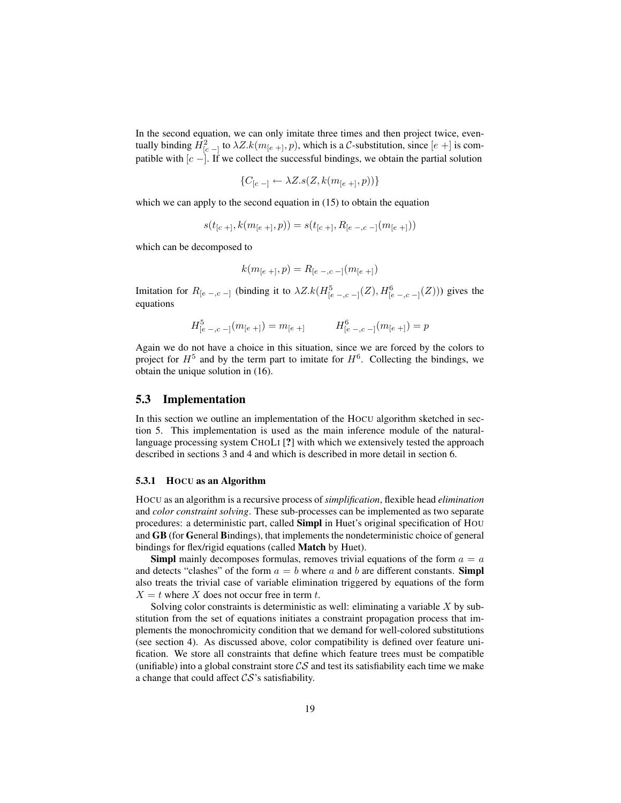In the second equation, we can only imitate three times and then project twice, eventually binding  $H_{[c-]}^2$  to  $\lambda Z. k(m_{[e+]}, p)$ , which is a C-substitution, since  $[e+]}$  is compatible with  $[c -]$ . If we collect the successful bindings, we obtain the partial solution

$$
\{C_{[c-]} \leftarrow \lambda Z. s(Z, k(m_{[e+]}, p))\}
$$

which we can apply to the second equation in (15) to obtain the equation

$$
s(t_{[c+]}, k(m_{[e+]}, p)) = s(t_{[c+]}, R_{[e-,c-]}(m_{[e+]}))
$$

which can be decomposed to

$$
k(m_{[e+]},p) = R_{[e-,c-]}(m_{[e+]})
$$

Imitation for  $R_{[e-,c-]}$  (binding it to  $\lambda Z. k(H^5_{[e-,c-]}(Z), H^6_{[e-,c-]}(Z))$ ) gives the equations

$$
H^5_{[e-,c-]}(m_{[e+]}) = m_{[e+]} \qquad H^6_{[e-,c-]}(m_{[e+]}) = p
$$

Again we do not have a choice in this situation, since we are forced by the colors to project for  $H^5$  and by the term part to imitate for  $H^6$ . Collecting the bindings, we obtain the unique solution in (16).

#### 5.3 Implementation

In this section we outline an implementation of the HOCU algorithm sketched in section 5. This implementation is used as the main inference module of the naturallanguage processing system CHOLI [?] with which we extensively tested the approach described in sections 3 and 4 and which is described in more detail in section 6.

#### 5.3.1 HOCU as an Algorithm

HOCU as an algorithm is a recursive process of *simplification*, flexible head *elimination* and *color constraint solving*. These sub-processes can be implemented as two separate procedures: a deterministic part, called Simpl in Huet's original specification of HOU and GB (for General Bindings), that implements the nondeterministic choice of general bindings for flex/rigid equations (called Match by Huet).

**Simpl** mainly decomposes formulas, removes trivial equations of the form  $a = a$ and detects "clashes" of the form  $a = b$  where a and b are different constants. **Simpl** also treats the trivial case of variable elimination triggered by equations of the form  $X = t$  where X does not occur free in term t.

Solving color constraints is deterministic as well: eliminating a variable  $X$  by substitution from the set of equations initiates a constraint propagation process that implements the monochromicity condition that we demand for well-colored substitutions (see section 4). As discussed above, color compatibility is defined over feature unification. We store all constraints that define which feature trees must be compatible (unifiable) into a global constraint store  $\mathcal{CS}$  and test its satisfiability each time we make a change that could affect  $\mathcal{CS}$ 's satisfiability.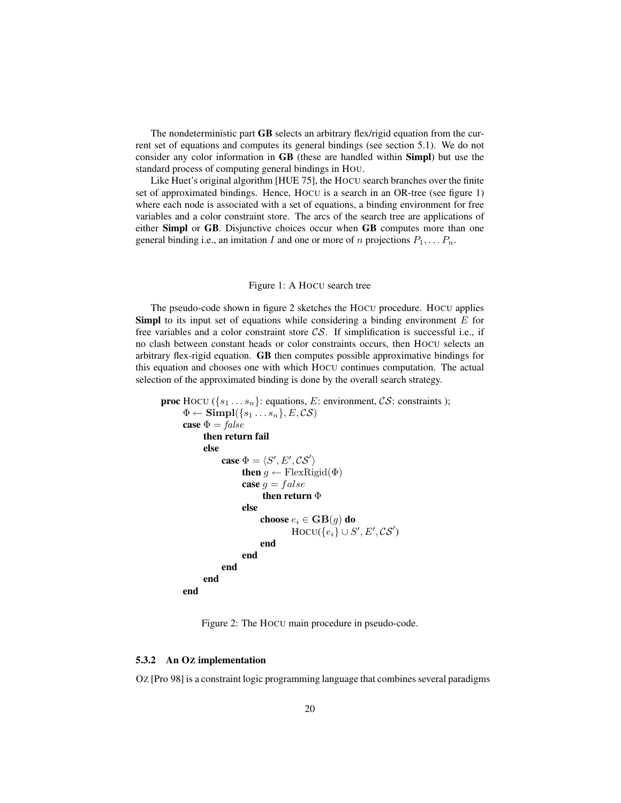The nondeterministic part GB selects an arbitrary flex/rigid equation from the current set of equations and computes its general bindings (see section 5.1). We do not consider any color information in GB (these are handled within Simpl) but use the standard process of computing general bindings in HOU.

Like Huet's original algorithm [HUE 75], the HOCU search branches over the finite set of approximated bindings. Hence, HOCU is a search in an OR-tree (see figure 1) where each node is associated with a set of equations, a binding environment for free variables and a color constraint store. The arcs of the search tree are applications of either Simpl or GB. Disjunctive choices occur when GB computes more than one general binding i.e., an imitation I and one or more of n projections  $P_1, \ldots P_n$ .

#### Figure 1: A HOCU search tree

The pseudo-code shown in figure 2 sketches the HOCU procedure. HOCU applies **Simpl** to its input set of equations while considering a binding environment  $E$  for free variables and a color constraint store  $\mathcal{CS}$ . If simplification is successful i.e., if no clash between constant heads or color constraints occurs, then HOCU selects an arbitrary flex-rigid equation. GB then computes possible approximative bindings for this equation and chooses one with which HOCU continues computation. The actual selection of the approximated binding is done by the overall search strategy.

```
proc HOCU (\{s_1 \ldots s_n\}: equations, E: environment, CS: constraints );
       \Phi \leftarrow \text{Simpl}(\{s_1 \dots s_n\}, E, \mathcal{CS})case \Phi = falsethen return fail
             else
                    case \Phi = \langle S', E', \mathcal{CS}' \ranglethen g \leftarrow FlexRigid(\Phi)
                          case q = falsethen return Φelse
                                choose e_i \in \mathbf{GB}(g) do
                                           \text{Hocu}(\{e_i\} \cup S', E', \mathcal{CS}')end
                          end
                   end
             end
      end
```
Figure 2: The HOCU main procedure in pseudo-code.

#### 5.3.2 An OZ implementation

OZ [Pro 98] is a constraint logic programming language that combines several paradigms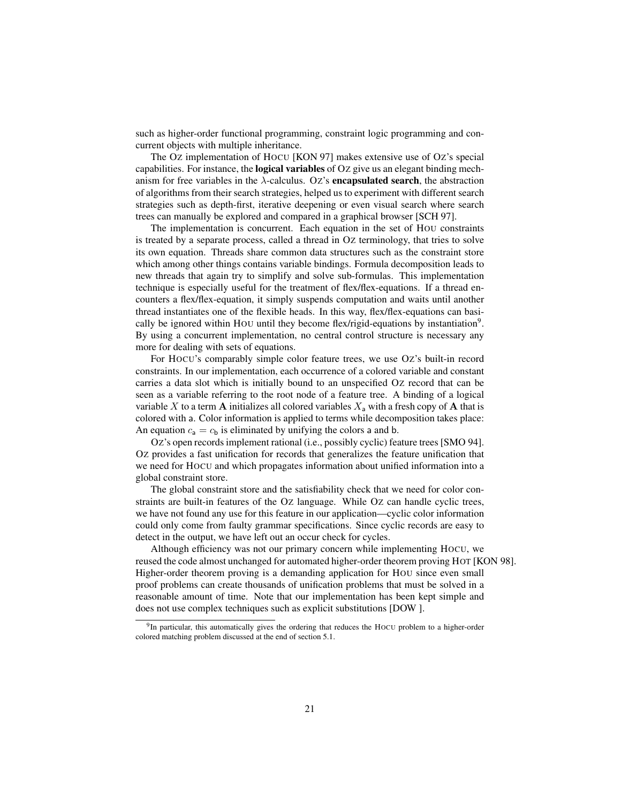such as higher-order functional programming, constraint logic programming and concurrent objects with multiple inheritance.

The OZ implementation of HOCU [KON 97] makes extensive use of OZ's special capabilities. For instance, the **logical variables** of Oz give us an elegant binding mechanism for free variables in the  $\lambda$ -calculus. Oz's **encapsulated search**, the abstraction of algorithms from their search strategies, helped us to experiment with different search strategies such as depth-first, iterative deepening or even visual search where search trees can manually be explored and compared in a graphical browser [SCH 97].

The implementation is concurrent. Each equation in the set of HOU constraints is treated by a separate process, called a thread in Oz terminology, that tries to solve its own equation. Threads share common data structures such as the constraint store which among other things contains variable bindings. Formula decomposition leads to new threads that again try to simplify and solve sub-formulas. This implementation technique is especially useful for the treatment of flex/flex-equations. If a thread encounters a flex/flex-equation, it simply suspends computation and waits until another thread instantiates one of the flexible heads. In this way, flex/flex-equations can basically be ignored within HOU until they become flex/rigid-equations by instantiation<sup>9</sup>. By using a concurrent implementation, no central control structure is necessary any more for dealing with sets of equations.

For HOCU's comparably simple color feature trees, we use OZ's built-in record constraints. In our implementation, each occurrence of a colored variable and constant carries a data slot which is initially bound to an unspecified OZ record that can be seen as a variable referring to the root node of a feature tree. A binding of a logical variable X to a term A initializes all colored variables  $X_a$  with a fresh copy of A that is colored with a. Color information is applied to terms while decomposition takes place: An equation  $c_a = c_b$  is eliminated by unifying the colors a and b.

OZ's open records implement rational (i.e., possibly cyclic) feature trees [SMO 94]. OZ provides a fast unification for records that generalizes the feature unification that we need for HOCU and which propagates information about unified information into a global constraint store.

The global constraint store and the satisfiability check that we need for color constraints are built-in features of the OZ language. While OZ can handle cyclic trees, we have not found any use for this feature in our application—cyclic color information could only come from faulty grammar specifications. Since cyclic records are easy to detect in the output, we have left out an occur check for cycles.

Although efficiency was not our primary concern while implementing HOCU, we reused the code almost unchanged for automated higher-order theorem proving HOT [KON 98]. Higher-order theorem proving is a demanding application for HOU since even small proof problems can create thousands of unification problems that must be solved in a reasonable amount of time. Note that our implementation has been kept simple and does not use complex techniques such as explicit substitutions [DOW ].

<sup>&</sup>lt;sup>9</sup>In particular, this automatically gives the ordering that reduces the HOCU problem to a higher-order colored matching problem discussed at the end of section 5.1.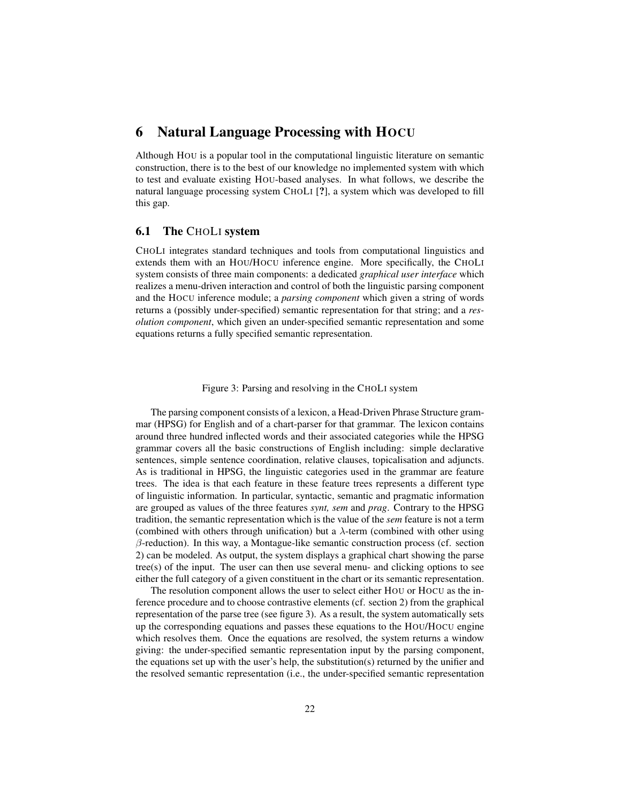# 6 Natural Language Processing with HOCU

Although HOU is a popular tool in the computational linguistic literature on semantic construction, there is to the best of our knowledge no implemented system with which to test and evaluate existing HOU-based analyses. In what follows, we describe the natural language processing system CHOLI [?], a system which was developed to fill this gap.

### 6.1 The CHOLI system

CHOLI integrates standard techniques and tools from computational linguistics and extends them with an HOU/HOCU inference engine. More specifically, the CHOLI system consists of three main components: a dedicated *graphical user interface* which realizes a menu-driven interaction and control of both the linguistic parsing component and the HOCU inference module; a *parsing component* which given a string of words returns a (possibly under-specified) semantic representation for that string; and a *resolution component*, which given an under-specified semantic representation and some equations returns a fully specified semantic representation.

Figure 3: Parsing and resolving in the CHOLI system

The parsing component consists of a lexicon, a Head-Driven Phrase Structure grammar (HPSG) for English and of a chart-parser for that grammar. The lexicon contains around three hundred inflected words and their associated categories while the HPSG grammar covers all the basic constructions of English including: simple declarative sentences, simple sentence coordination, relative clauses, topicalisation and adjuncts. As is traditional in HPSG, the linguistic categories used in the grammar are feature trees. The idea is that each feature in these feature trees represents a different type of linguistic information. In particular, syntactic, semantic and pragmatic information are grouped as values of the three features *synt, sem* and *prag*. Contrary to the HPSG tradition, the semantic representation which is the value of the *sem* feature is not a term (combined with others through unification) but a  $\lambda$ -term (combined with other using  $\beta$ -reduction). In this way, a Montague-like semantic construction process (cf. section 2) can be modeled. As output, the system displays a graphical chart showing the parse tree(s) of the input. The user can then use several menu- and clicking options to see either the full category of a given constituent in the chart or its semantic representation.

The resolution component allows the user to select either HOU or HOCU as the inference procedure and to choose contrastive elements (cf. section 2) from the graphical representation of the parse tree (see figure 3). As a result, the system automatically sets up the corresponding equations and passes these equations to the HOU/HOCU engine which resolves them. Once the equations are resolved, the system returns a window giving: the under-specified semantic representation input by the parsing component, the equations set up with the user's help, the substitution(s) returned by the unifier and the resolved semantic representation (i.e., the under-specified semantic representation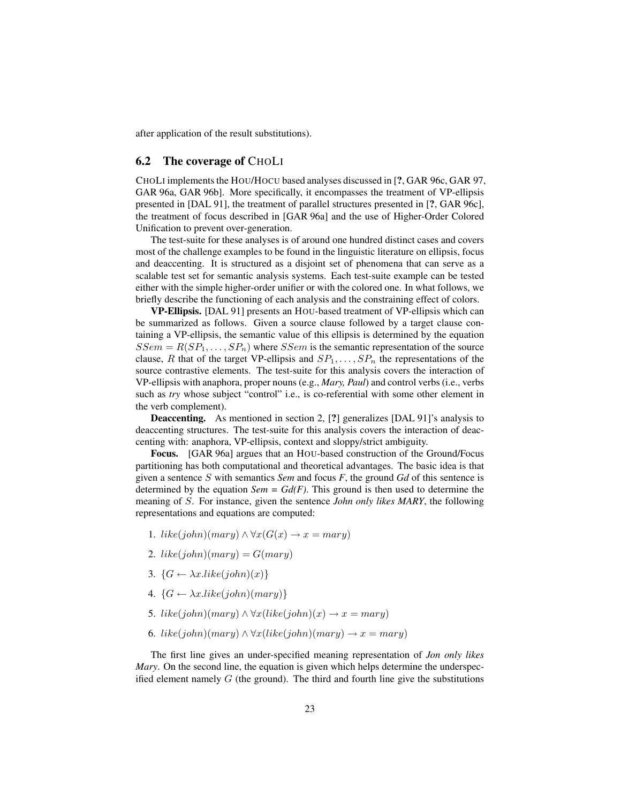after application of the result substitutions).

# 6.2 The coverage of CHOLI

CHOLI implements the HOU/HOCU based analyses discussed in [?, GAR 96c, GAR 97, GAR 96a, GAR 96b]. More specifically, it encompasses the treatment of VP-ellipsis presented in [DAL 91], the treatment of parallel structures presented in [?, GAR 96c], the treatment of focus described in [GAR 96a] and the use of Higher-Order Colored Unification to prevent over-generation.

The test-suite for these analyses is of around one hundred distinct cases and covers most of the challenge examples to be found in the linguistic literature on ellipsis, focus and deaccenting. It is structured as a disjoint set of phenomena that can serve as a scalable test set for semantic analysis systems. Each test-suite example can be tested either with the simple higher-order unifier or with the colored one. In what follows, we briefly describe the functioning of each analysis and the constraining effect of colors.

VP-Ellipsis. [DAL 91] presents an HOU-based treatment of VP-ellipsis which can be summarized as follows. Given a source clause followed by a target clause containing a VP-ellipsis, the semantic value of this ellipsis is determined by the equation  $SSem = R(SP_1, \ldots, SP_n)$  where  $SSem$  is the semantic representation of the source clause, R that of the target VP-ellipsis and  $SP_1, \ldots, SP_n$  the representations of the source contrastive elements. The test-suite for this analysis covers the interaction of VP-ellipsis with anaphora, proper nouns (e.g., *Mary, Paul*) and control verbs (i.e., verbs such as *try* whose subject "control" i.e., is co-referential with some other element in the verb complement).

Deaccenting. As mentioned in section 2, [?] generalizes [DAL 91]'s analysis to deaccenting structures. The test-suite for this analysis covers the interaction of deaccenting with: anaphora, VP-ellipsis, context and sloppy/strict ambiguity.

Focus. [GAR 96a] argues that an HOU-based construction of the Ground/Focus partitioning has both computational and theoretical advantages. The basic idea is that given a sentence S with semantics *Sem* and focus *F*, the ground *Gd* of this sentence is determined by the equation  $Sem = Gd(F)$ . This ground is then used to determine the meaning of S. For instance, given the sentence *John only likes MARY*, the following representations and equations are computed:

- 1. like(john)(mary)  $\land \forall x(G(x) \rightarrow x = mary)$
- 2. like(john)(mary) =  $G(mary)$
- 3.  $\{G \leftarrow \lambda x. like(john)(x)\}$
- 4.  $\{G \leftarrow \lambda x. like(john)(mary)\}$
- 5. like(john)(mary)  $\land \forall x(like(john)(x) \rightarrow x = mary)$
- 6. like(john)(mary)  $\land \forall x(like(john)(mary) \rightarrow x =mary)$

The first line gives an under-specified meaning representation of *Jon only likes Mary*. On the second line, the equation is given which helps determine the underspecified element namely  $G$  (the ground). The third and fourth line give the substitutions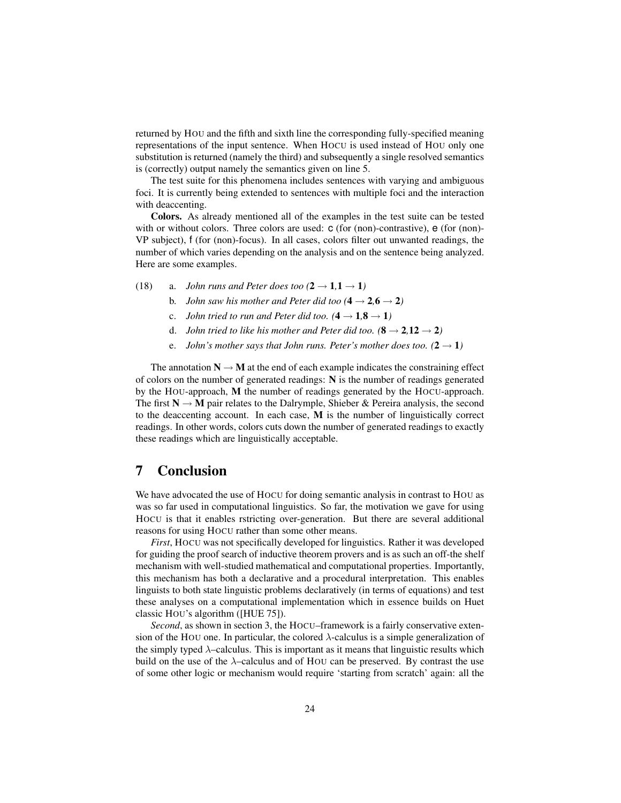returned by HOU and the fifth and sixth line the corresponding fully-specified meaning representations of the input sentence. When HOCU is used instead of HOU only one substitution is returned (namely the third) and subsequently a single resolved semantics is (correctly) output namely the semantics given on line 5.

The test suite for this phenomena includes sentences with varying and ambiguous foci. It is currently being extended to sentences with multiple foci and the interaction with deaccenting.

Colors. As already mentioned all of the examples in the test suite can be tested with or without colors. Three colors are used:  $c$  (for (non)-contrastive),  $e$  (for (non)-VP subject), f (for (non)-focus). In all cases, colors filter out unwanted readings, the number of which varies depending on the analysis and on the sentence being analyzed. Here are some examples.

- (18) a. *John runs and Peter does too*  $(2 \rightarrow 1, 1 \rightarrow 1)$ 
	- b. *John saw his mother and Peter did too*  $(4 \rightarrow 2, 6 \rightarrow 2)$
	- c. *John tried to run and Peter did too.*  $(4 \rightarrow 1, 8 \rightarrow 1)$
	- d. *John tried to like his mother and Peter did too.*  $(8 \rightarrow 2, 12 \rightarrow 2)$
	- e. *John's mother says that John runs. Peter's mother does too.*  $(2 \rightarrow 1)$

The annotation  $N \rightarrow M$  at the end of each example indicates the constraining effect of colors on the number of generated readings: N is the number of readings generated by the HOU-approach, M the number of readings generated by the HOCU-approach. The first  $N \rightarrow M$  pair relates to the Dalrymple, Shieber & Pereira analysis, the second to the deaccenting account. In each case, M is the number of linguistically correct readings. In other words, colors cuts down the number of generated readings to exactly these readings which are linguistically acceptable.

# 7 Conclusion

We have advocated the use of HOCU for doing semantic analysis in contrast to HOU as was so far used in computational linguistics. So far, the motivation we gave for using HOCU is that it enables rstricting over-generation. But there are several additional reasons for using HOCU rather than some other means.

*First*, HOCU was not specifically developed for linguistics. Rather it was developed for guiding the proof search of inductive theorem provers and is as such an off-the shelf mechanism with well-studied mathematical and computational properties. Importantly, this mechanism has both a declarative and a procedural interpretation. This enables linguists to both state linguistic problems declaratively (in terms of equations) and test these analyses on a computational implementation which in essence builds on Huet classic HOU's algorithm ([HUE 75]).

*Second*, as shown in section 3, the HOCU–framework is a fairly conservative extension of the HOU one. In particular, the colored  $\lambda$ -calculus is a simple generalization of the simply typed λ–calculus. This is important as it means that linguistic results which build on the use of the  $\lambda$ -calculus and of HOU can be preserved. By contrast the use of some other logic or mechanism would require 'starting from scratch' again: all the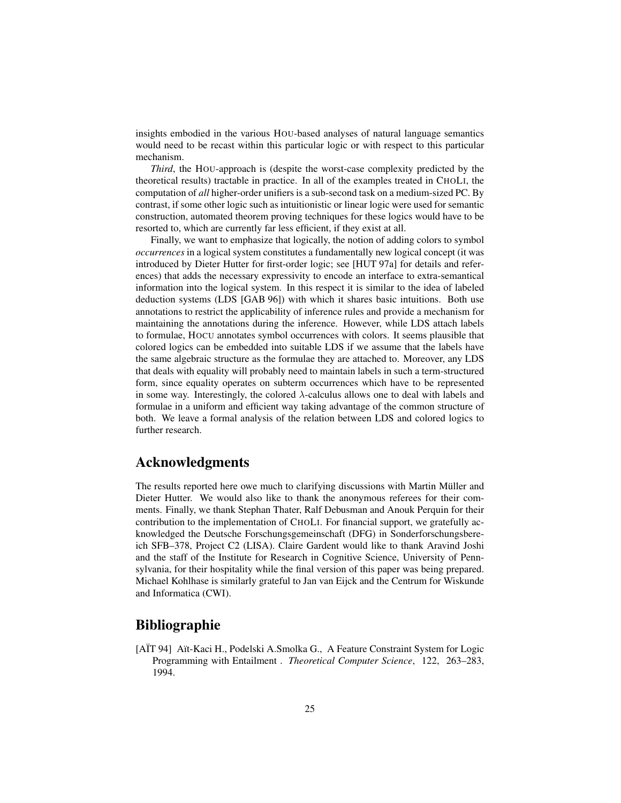insights embodied in the various HOU-based analyses of natural language semantics would need to be recast within this particular logic or with respect to this particular mechanism.

*Third*, the HOU-approach is (despite the worst-case complexity predicted by the theoretical results) tractable in practice. In all of the examples treated in CHOLI, the computation of *all* higher-order unifiers is a sub-second task on a medium-sized PC. By contrast, if some other logic such as intuitionistic or linear logic were used for semantic construction, automated theorem proving techniques for these logics would have to be resorted to, which are currently far less efficient, if they exist at all.

Finally, we want to emphasize that logically, the notion of adding colors to symbol *occurrences* in a logical system constitutes a fundamentally new logical concept (it was introduced by Dieter Hutter for first-order logic; see [HUT 97a] for details and references) that adds the necessary expressivity to encode an interface to extra-semantical information into the logical system. In this respect it is similar to the idea of labeled deduction systems (LDS [GAB 96]) with which it shares basic intuitions. Both use annotations to restrict the applicability of inference rules and provide a mechanism for maintaining the annotations during the inference. However, while LDS attach labels to formulae, HOCU annotates symbol occurrences with colors. It seems plausible that colored logics can be embedded into suitable LDS if we assume that the labels have the same algebraic structure as the formulae they are attached to. Moreover, any LDS that deals with equality will probably need to maintain labels in such a term-structured form, since equality operates on subterm occurrences which have to be represented in some way. Interestingly, the colored  $\lambda$ -calculus allows one to deal with labels and formulae in a uniform and efficient way taking advantage of the common structure of both. We leave a formal analysis of the relation between LDS and colored logics to further research.

# Acknowledgments

The results reported here owe much to clarifying discussions with Martin Müller and Dieter Hutter. We would also like to thank the anonymous referees for their comments. Finally, we thank Stephan Thater, Ralf Debusman and Anouk Perquin for their contribution to the implementation of CHOLI. For financial support, we gratefully acknowledged the Deutsche Forschungsgemeinschaft (DFG) in Sonderforschungsbereich SFB–378, Project C2 (LISA). Claire Gardent would like to thank Aravind Joshi and the staff of the Institute for Research in Cognitive Science, University of Pennsylvania, for their hospitality while the final version of this paper was being prepared. Michael Kohlhase is similarly grateful to Jan van Eijck and the Centrum for Wiskunde and Informatica (CWI).

# Bibliographie

[AIT 94] Aït-Kaci H., Podelski A.Smolka G., A Feature Constraint System for Logic Programming with Entailment . *Theoretical Computer Science*, 122, 263–283, 1994.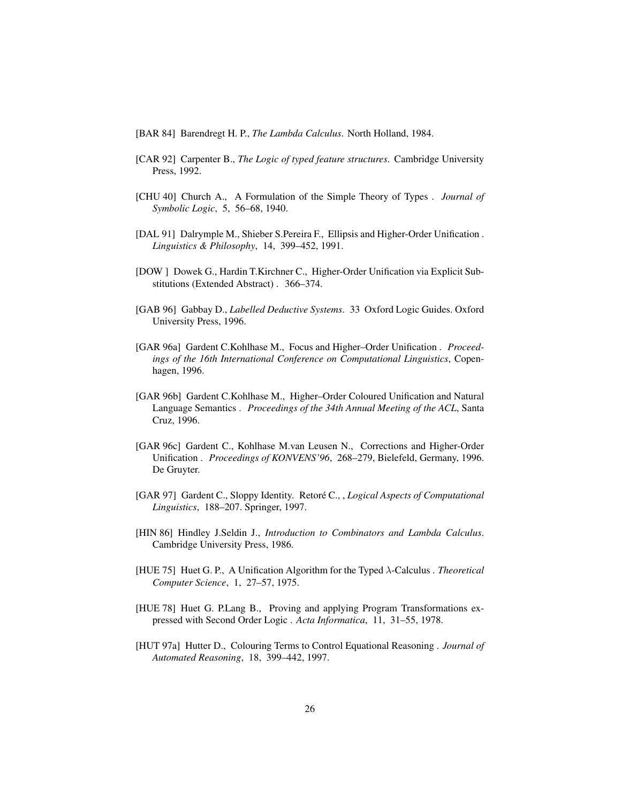- [BAR 84] Barendregt H. P., *The Lambda Calculus*. North Holland, 1984.
- [CAR 92] Carpenter B., *The Logic of typed feature structures*. Cambridge University Press, 1992.
- [CHU 40] Church A., A Formulation of the Simple Theory of Types . *Journal of Symbolic Logic*, 5, 56–68, 1940.
- [DAL 91] Dalrymple M., Shieber S.Pereira F., Ellipsis and Higher-Order Unification . *Linguistics & Philosophy*, 14, 399–452, 1991.
- [DOW ] Dowek G., Hardin T.Kirchner C., Higher-Order Unification via Explicit Substitutions (Extended Abstract) . 366–374.
- [GAB 96] Gabbay D., *Labelled Deductive Systems*. 33 Oxford Logic Guides. Oxford University Press, 1996.
- [GAR 96a] Gardent C.Kohlhase M., Focus and Higher–Order Unification . *Proceedings of the 16th International Conference on Computational Linguistics*, Copenhagen, 1996.
- [GAR 96b] Gardent C.Kohlhase M., Higher–Order Coloured Unification and Natural Language Semantics . *Proceedings of the 34th Annual Meeting of the ACL*, Santa Cruz, 1996.
- [GAR 96c] Gardent C., Kohlhase M.van Leusen N., Corrections and Higher-Order Unification . *Proceedings of KONVENS'96*, 268–279, Bielefeld, Germany, 1996. De Gruyter.
- [GAR 97] Gardent C., Sloppy Identity. Retoré C., , Logical Aspects of Computational *Linguistics*, 188–207. Springer, 1997.
- [HIN 86] Hindley J.Seldin J., *Introduction to Combinators and Lambda Calculus*. Cambridge University Press, 1986.
- [HUE 75] Huet G. P., A Unification Algorithm for the Typed λ-Calculus . *Theoretical Computer Science*, 1, 27–57, 1975.
- [HUE 78] Huet G. P.Lang B., Proving and applying Program Transformations expressed with Second Order Logic . *Acta Informatica*, 11, 31–55, 1978.
- [HUT 97a] Hutter D., Colouring Terms to Control Equational Reasoning . *Journal of Automated Reasoning*, 18, 399–442, 1997.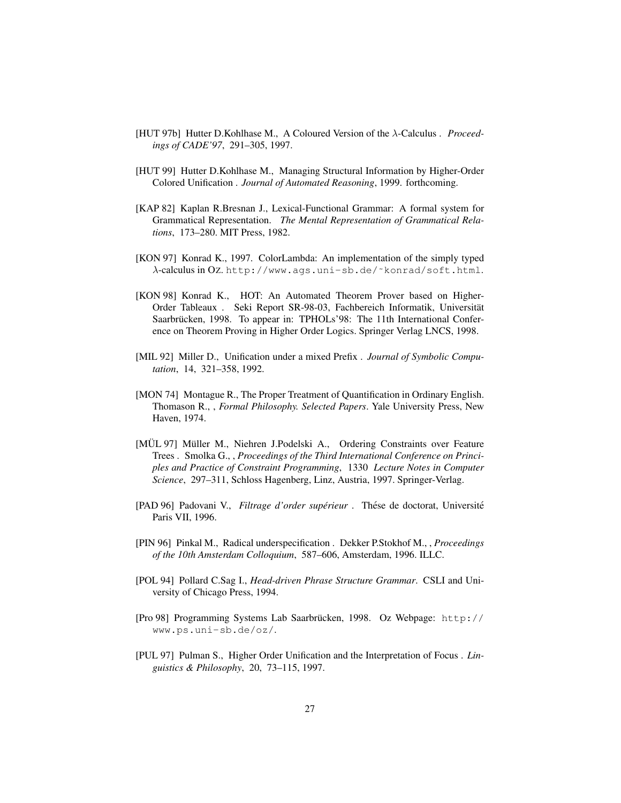- [HUT 97b] Hutter D.Kohlhase M., A Coloured Version of the λ-Calculus . *Proceedings of CADE'97*, 291–305, 1997.
- [HUT 99] Hutter D.Kohlhase M., Managing Structural Information by Higher-Order Colored Unification . *Journal of Automated Reasoning*, 1999. forthcoming.
- [KAP 82] Kaplan R.Bresnan J., Lexical-Functional Grammar: A formal system for Grammatical Representation. *The Mental Representation of Grammatical Relations*, 173–280. MIT Press, 1982.
- [KON 97] Konrad K., 1997. ColorLambda: An implementation of the simply typed λ-calculus in OZ. http://www.ags.uni-sb.de/˜konrad/soft.html.
- [KON 98] Konrad K., HOT: An Automated Theorem Prover based on Higher-Order Tableaux . Seki Report SR-98-03, Fachbereich Informatik, Universitat¨ Saarbrücken, 1998. To appear in: TPHOLs'98: The 11th International Conference on Theorem Proving in Higher Order Logics. Springer Verlag LNCS, 1998.
- [MIL 92] Miller D., Unification under a mixed Prefix . *Journal of Symbolic Computation*, 14, 321–358, 1992.
- [MON 74] Montague R., The Proper Treatment of Quantification in Ordinary English. Thomason R., , *Formal Philosophy. Selected Papers*. Yale University Press, New Haven, 1974.
- [MÜL 97] Müller M., Niehren J.Podelski A., Ordering Constraints over Feature Trees . Smolka G., , *Proceedings of the Third International Conference on Principles and Practice of Constraint Programming*, 1330 *Lecture Notes in Computer Science*, 297–311, Schloss Hagenberg, Linz, Austria, 1997. Springer-Verlag.
- [PAD 96] Padovani V., *Filtrage d'order supérieur* . Thése de doctorat, Université Paris VII, 1996.
- [PIN 96] Pinkal M., Radical underspecification . Dekker P.Stokhof M., , *Proceedings of the 10th Amsterdam Colloquium*, 587–606, Amsterdam, 1996. ILLC.
- [POL 94] Pollard C.Sag I., *Head-driven Phrase Structure Grammar*. CSLI and University of Chicago Press, 1994.
- [Pro 98] Programming Systems Lab Saarbrücken, 1998. Oz Webpage: http:// www.ps.uni-sb.de/oz/.
- [PUL 97] Pulman S., Higher Order Unification and the Interpretation of Focus . *Linguistics & Philosophy*, 20, 73–115, 1997.